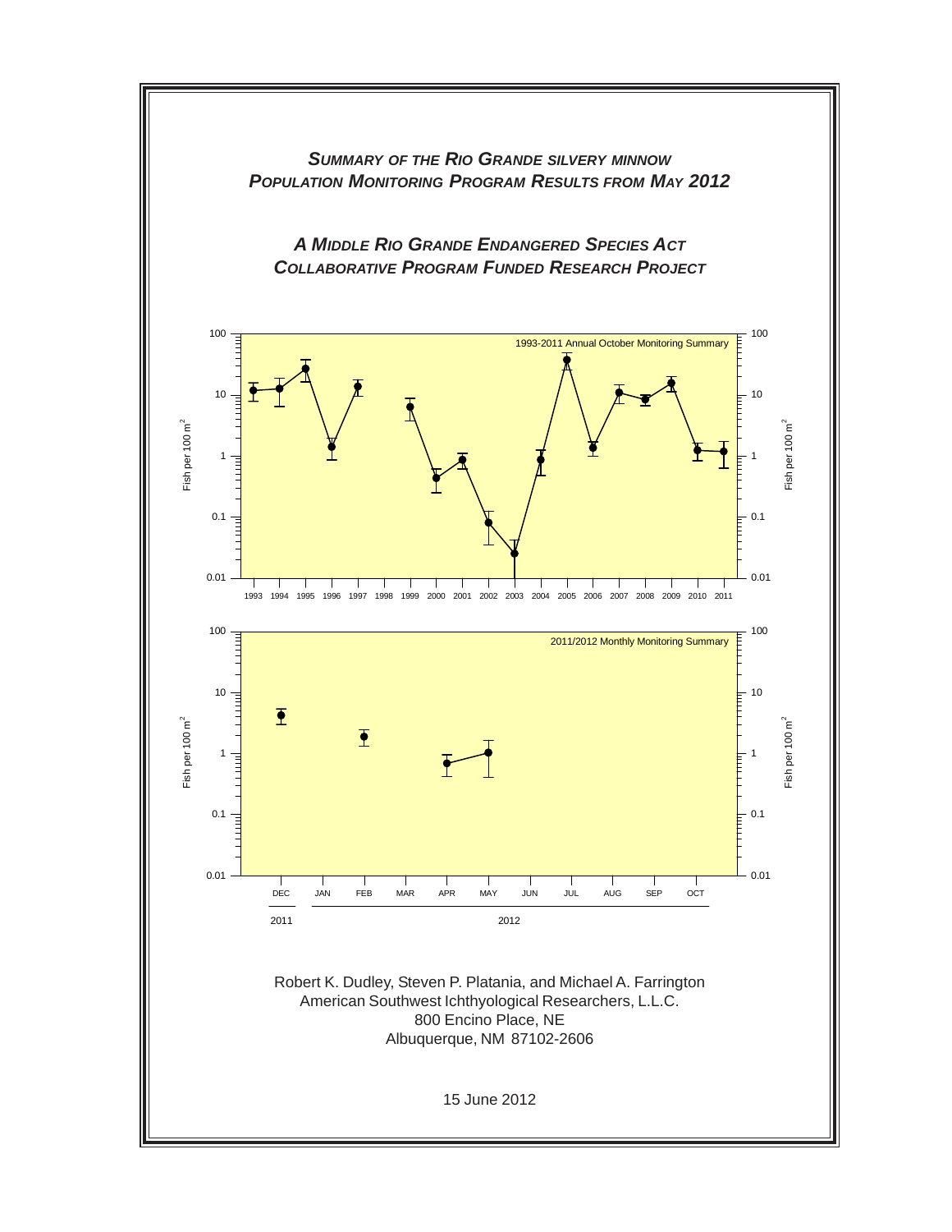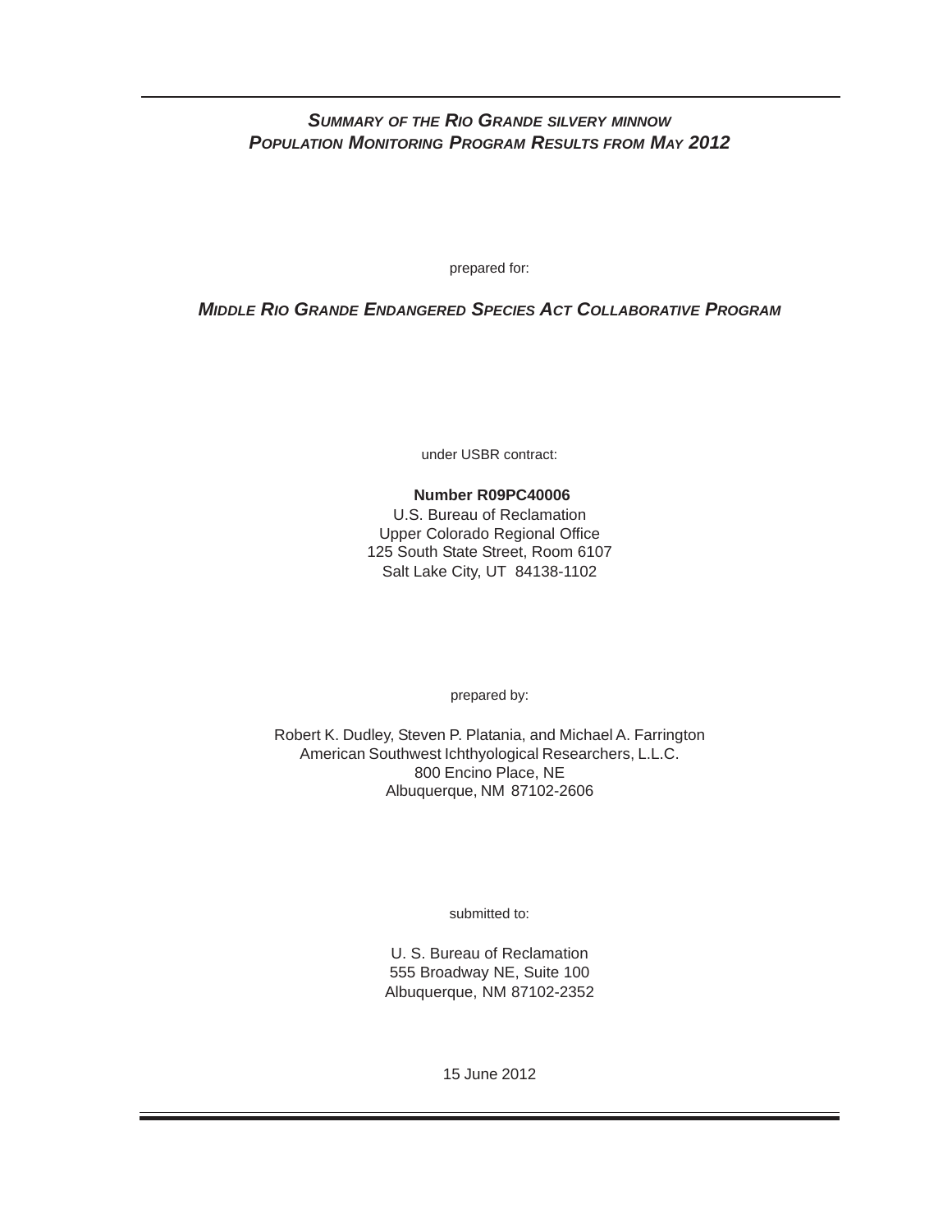## *SUMMARY OF THE RIO GRANDE SILVERY MINNOW POPULATION MONITORING PROGRAM RESULTS FROM MAY 2012*

prepared for:

## *MIDDLE RIO GRANDE ENDANGERED SPECIES ACT COLLABORATIVE PROGRAM*

under USBR contract:

# **Number R09PC40006**

U.S. Bureau of Reclamation Upper Colorado Regional Office 125 South State Street, Room 6107 Salt Lake City, UT 84138-1102

prepared by:

Robert K. Dudley, Steven P. Platania, and Michael A. Farrington American Southwest Ichthyological Researchers, L.L.C. 800 Encino Place, NE Albuquerque, NM 87102-2606

submitted to:

U. S. Bureau of Reclamation 555 Broadway NE, Suite 100 Albuquerque, NM 87102-2352

15 June 2012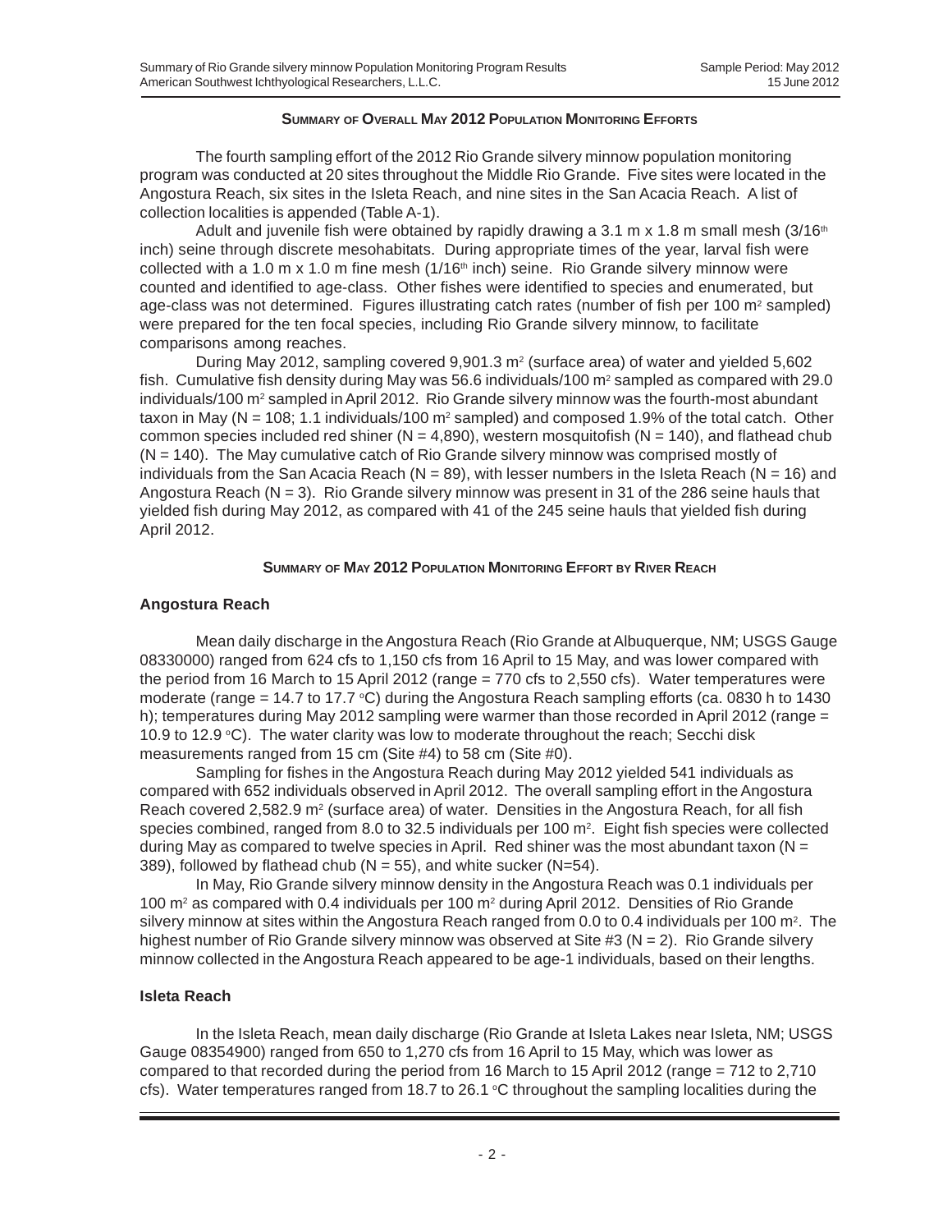#### **SUMMARY OF OVERALL MAY 2012 POPULATION MONITORING EFFORTS**

The fourth sampling effort of the 2012 Rio Grande silvery minnow population monitoring program was conducted at 20 sites throughout the Middle Rio Grande. Five sites were located in the Angostura Reach, six sites in the Isleta Reach, and nine sites in the San Acacia Reach. A list of collection localities is appended (Table A-1).

Adult and juvenile fish were obtained by rapidly drawing a 3.1 m x 1.8 m small mesh  $(3/16<sup>th</sup>)$ inch) seine through discrete mesohabitats. During appropriate times of the year, larval fish were collected with a 1.0 m x 1.0 m fine mesh ( $1/16<sup>th</sup>$  inch) seine. Rio Grande silvery minnow were counted and identified to age-class. Other fishes were identified to species and enumerated, but age-class was not determined. Figures illustrating catch rates (number of fish per 100  $m<sup>2</sup>$  sampled) were prepared for the ten focal species, including Rio Grande silvery minnow, to facilitate comparisons among reaches.

During May 2012, sampling covered  $9.901.3$  m<sup>2</sup> (surface area) of water and yielded  $5.602$ fish. Cumulative fish density during May was 56.6 individuals/100  $m^2$  sampled as compared with 29.0 individuals/100 m<sup>2</sup> sampled in April 2012. Rio Grande silvery minnow was the fourth-most abundant taxon in May ( $N = 108$ ; 1.1 individuals/100 m<sup>2</sup> sampled) and composed 1.9% of the total catch. Other common species included red shiner ( $N = 4,890$ ), western mosquitofish ( $N = 140$ ), and flathead chub  $(N = 140)$ . The May cumulative catch of Rio Grande silvery minnow was comprised mostly of individuals from the San Acacia Reach ( $N = 89$ ), with lesser numbers in the Isleta Reach ( $N = 16$ ) and Angostura Reach (N = 3).Rio Grande silvery minnow was present in 31 of the 286 seine hauls that yielded fish during May 2012, as compared with 41 of the 245 seine hauls that yielded fish during April 2012.

#### **SUMMARY OF MAY 2012 POPULATION MONITORING EFFORT BY RIVER REACH**

### **Angostura Reach**

Mean daily discharge in the Angostura Reach (Rio Grande at Albuquerque, NM; USGS Gauge 08330000) ranged from 624 cfs to 1,150 cfs from 16 April to 15 May, and was lower compared with the period from 16 March to 15 April 2012 (range = 770 cfs to 2,550 cfs). Water temperatures were moderate (range = 14.7 to 17.7  $\degree$ C) during the Angostura Reach sampling efforts (ca. 0830 h to 1430 h); temperatures during May 2012 sampling were warmer than those recorded in April 2012 (range = 10.9 to 12.9  $\degree$ C). The water clarity was low to moderate throughout the reach; Secchi disk measurements ranged from 15 cm (Site #4) to 58 cm (Site #0).

Sampling for fishes in the Angostura Reach during May 2012 yielded 541 individuals as compared with 652 individuals observed in April 2012. The overall sampling effort in the Angostura Reach covered 2,582.9  $m^2$  (surface area) of water. Densities in the Angostura Reach, for all fish species combined, ranged from 8.0 to 32.5 individuals per 100 m2.Eight fish species were collected during May as compared to twelve species in April. Red shiner was the most abundant taxon ( $N =$ 389), followed by flathead chub ( $N = 55$ ), and white sucker ( $N = 54$ ).

In May, Rio Grande silvery minnow density in the Angostura Reach was 0.1 individuals per 100 m<sup>2</sup> as compared with 0.4 individuals per 100 m<sup>2</sup> during April 2012. Densities of Rio Grande silvery minnow at sites within the Angostura Reach ranged from 0.0 to 0.4 individuals per 100 m<sup>2</sup>. The highest number of Rio Grande silvery minnow was observed at Site #3 ( $N = 2$ ). Rio Grande silvery minnow collected in the Angostura Reach appeared to be age-1 individuals, based on their lengths.

### **Isleta Reach**

In the Isleta Reach, mean daily discharge (Rio Grande at Isleta Lakes near Isleta, NM; USGS Gauge 08354900) ranged from 650 to 1,270 cfs from 16 April to 15 May, which was lower as compared to that recorded during the period from 16 March to 15 April 2012 (range = 712 to 2,710 cfs). Water temperatures ranged from 18.7 to 26.1  $\degree$ C throughout the sampling localities during the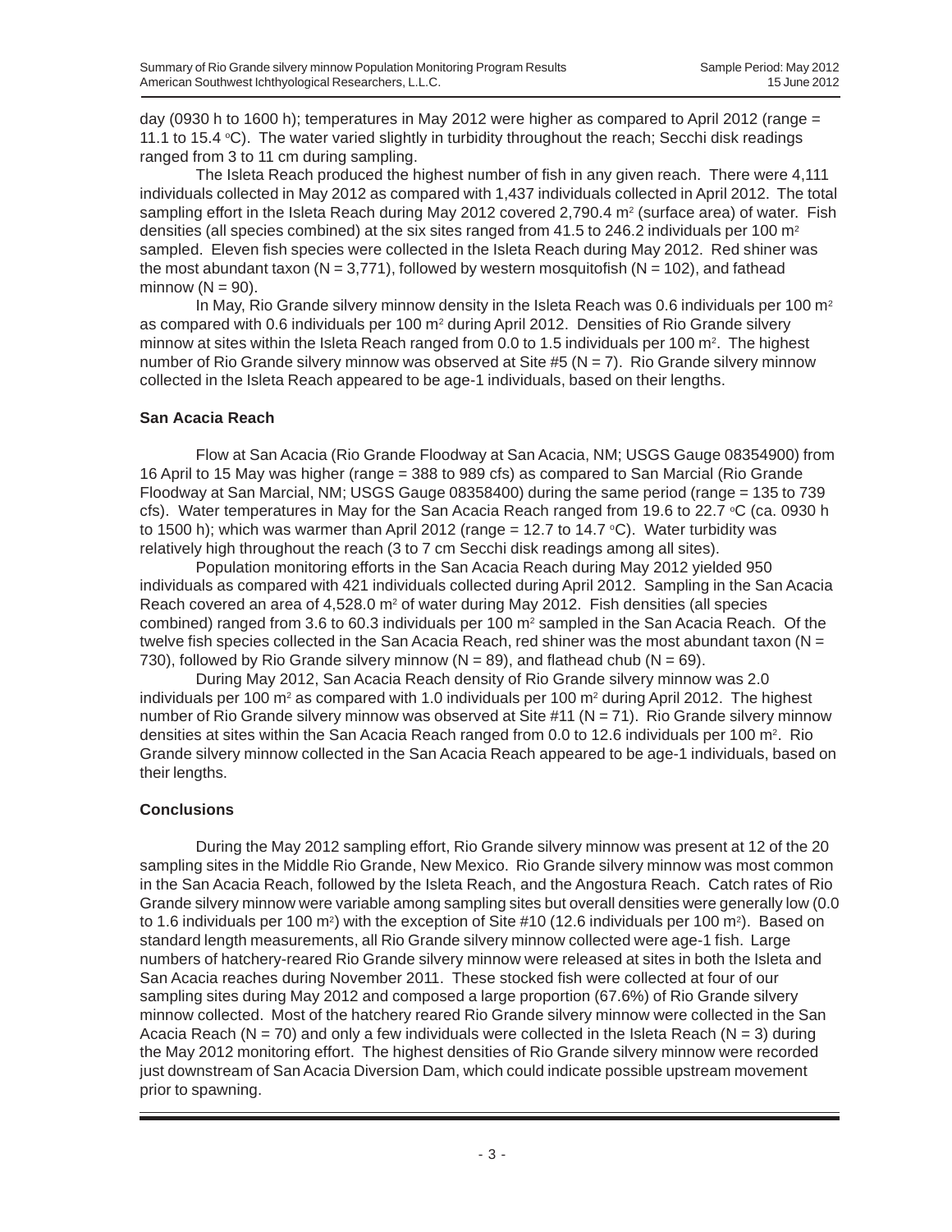day (0930 h to 1600 h); temperatures in May 2012 were higher as compared to April 2012 (range = 11.1 to 15.4  $°C$ ). The water varied slightly in turbidity throughout the reach; Secchi disk readings ranged from 3 to 11 cm during sampling.

The Isleta Reach produced the highest number of fish in any given reach. There were 4,111 individuals collected in May 2012 as compared with 1,437 individuals collected in April 2012. The total sampling effort in the Isleta Reach during May 2012 covered 2,790.4  $m<sup>2</sup>$  (surface area) of water. Fish densities (all species combined) at the six sites ranged from 41.5 to 246.2 individuals per 100 m<sup>2</sup> sampled. Eleven fish species were collected in the Isleta Reach during May 2012. Red shiner was the most abundant taxon (N = 3,771), followed by western mosquitofish (N = 102), and fathead minnow  $(N = 90)$ .

In May, Rio Grande silvery minnow density in the Isleta Reach was 0.6 individuals per 100  $m<sup>2</sup>$ as compared with 0.6 individuals per 100 m<sup>2</sup> during April 2012. Densities of Rio Grande silvery minnow at sites within the Isleta Reach ranged from 0.0 to 1.5 individuals per 100  $m^2$ . The highest number of Rio Grande silvery minnow was observed at Site #5 ( $N = 7$ ). Rio Grande silvery minnow collected in the Isleta Reach appeared to be age-1 individuals, based on their lengths.

#### **San Acacia Reach**

Flow at San Acacia (Rio Grande Floodway at San Acacia, NM; USGS Gauge 08354900) from 16 April to 15 May was higher (range = 388 to 989 cfs) as compared to San Marcial (Rio Grande Floodway at San Marcial, NM; USGS Gauge 08358400) during the same period (range = 135 to 739 cfs). Water temperatures in May for the San Acacia Reach ranged from 19.6 to 22.7 °C (ca. 0930 h to 1500 h); which was warmer than April 2012 (range = 12.7 to 14.7  $\degree$ C). Water turbidity was relatively high throughout the reach (3 to 7 cm Secchi disk readings among all sites).

Population monitoring efforts in the San Acacia Reach during May 2012 yielded 950 individuals as compared with 421 individuals collected during April 2012. Sampling in the San Acacia Reach covered an area of  $4,528.0$  m<sup>2</sup> of water during May 2012. Fish densities (all species combined) ranged from 3.6 to 60.3 individuals per 100  $m<sup>2</sup>$  sampled in the San Acacia Reach. Of the twelve fish species collected in the San Acacia Reach, red shiner was the most abundant taxon ( $N =$ 730), followed by Rio Grande silvery minnow ( $N = 89$ ), and flathead chub ( $N = 69$ ).

During May 2012, San Acacia Reach density of Rio Grande silvery minnow was 2.0 individuals per 100 m<sup>2</sup> as compared with 1.0 individuals per 100 m<sup>2</sup> during April 2012. The highest number of Rio Grande silvery minnow was observed at Site  $\#11$  (N = 71). Rio Grande silvery minnow densities at sites within the San Acacia Reach ranged from 0.0 to 12.6 individuals per 100 m<sup>2</sup>. Rio Grande silvery minnow collected in the San Acacia Reach appeared to be age-1 individuals, based on their lengths.

### **Conclusions**

During the May 2012 sampling effort, Rio Grande silvery minnow was present at 12 of the 20 sampling sites in the Middle Rio Grande, New Mexico. Rio Grande silvery minnow was most common in the San Acacia Reach, followed by the Isleta Reach, and the Angostura Reach. Catch rates of Rio Grande silvery minnow were variable among sampling sites but overall densities were generally low (0.0 to 1.6 individuals per 100 m<sup>2</sup>) with the exception of Site #10 (12.6 individuals per 100 m<sup>2</sup>). Based on standard length measurements, all Rio Grande silvery minnow collected were age-1 fish. Large numbers of hatchery-reared Rio Grande silvery minnow were released at sites in both the Isleta and San Acacia reaches during November 2011. These stocked fish were collected at four of our sampling sites during May 2012 and composed a large proportion (67.6%) of Rio Grande silvery minnow collected. Most of the hatchery reared Rio Grande silvery minnow were collected in the San Acacia Reach (N = 70) and only a few individuals were collected in the Isleta Reach (N = 3) during the May 2012 monitoring effort. The highest densities of Rio Grande silvery minnow were recorded just downstream of San Acacia Diversion Dam, which could indicate possible upstream movement prior to spawning.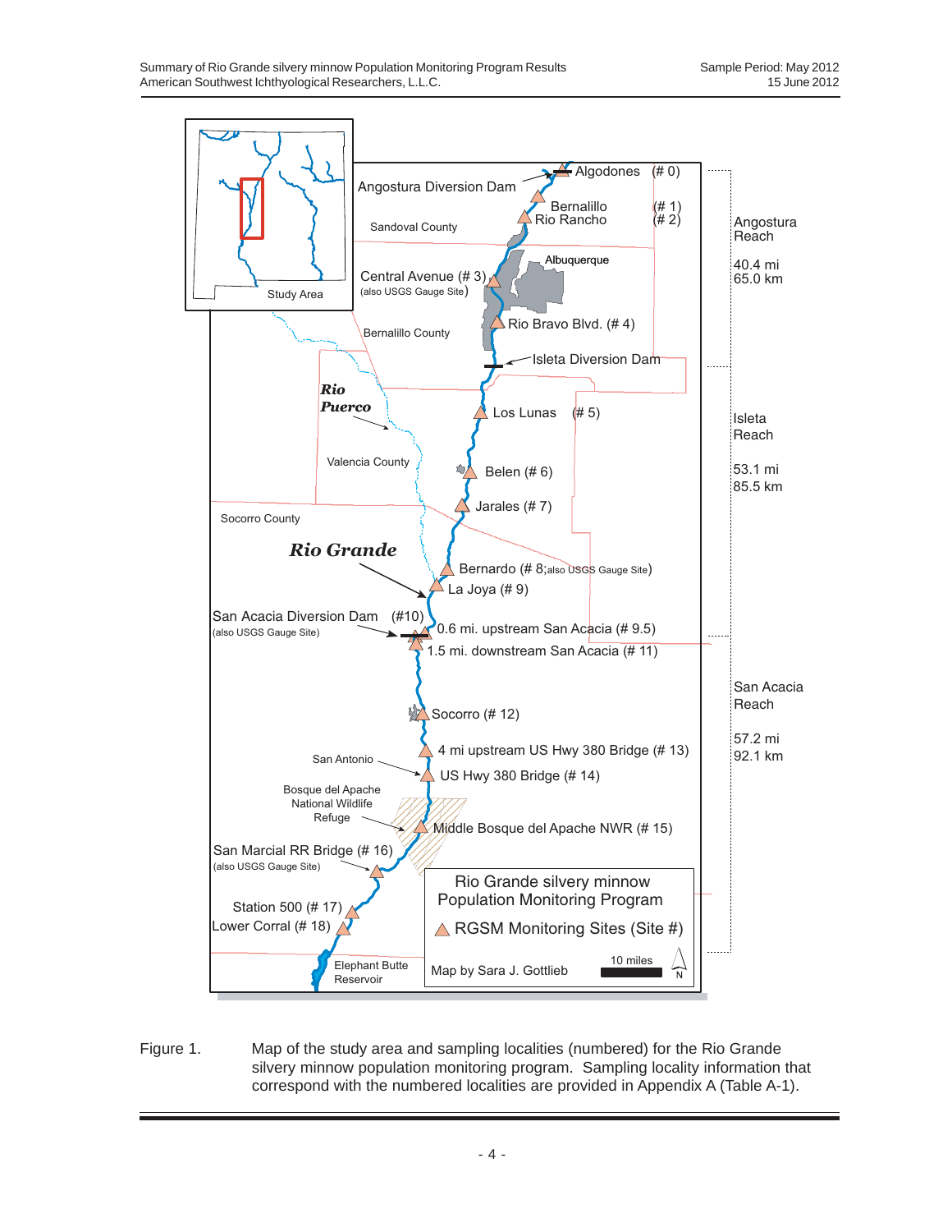

Figure 1. Map of the study area and sampling localities (numbered) for the Rio Grande silvery minnow population monitoring program. Sampling locality information that correspond with the numbered localities are provided in Appendix A (Table A-1).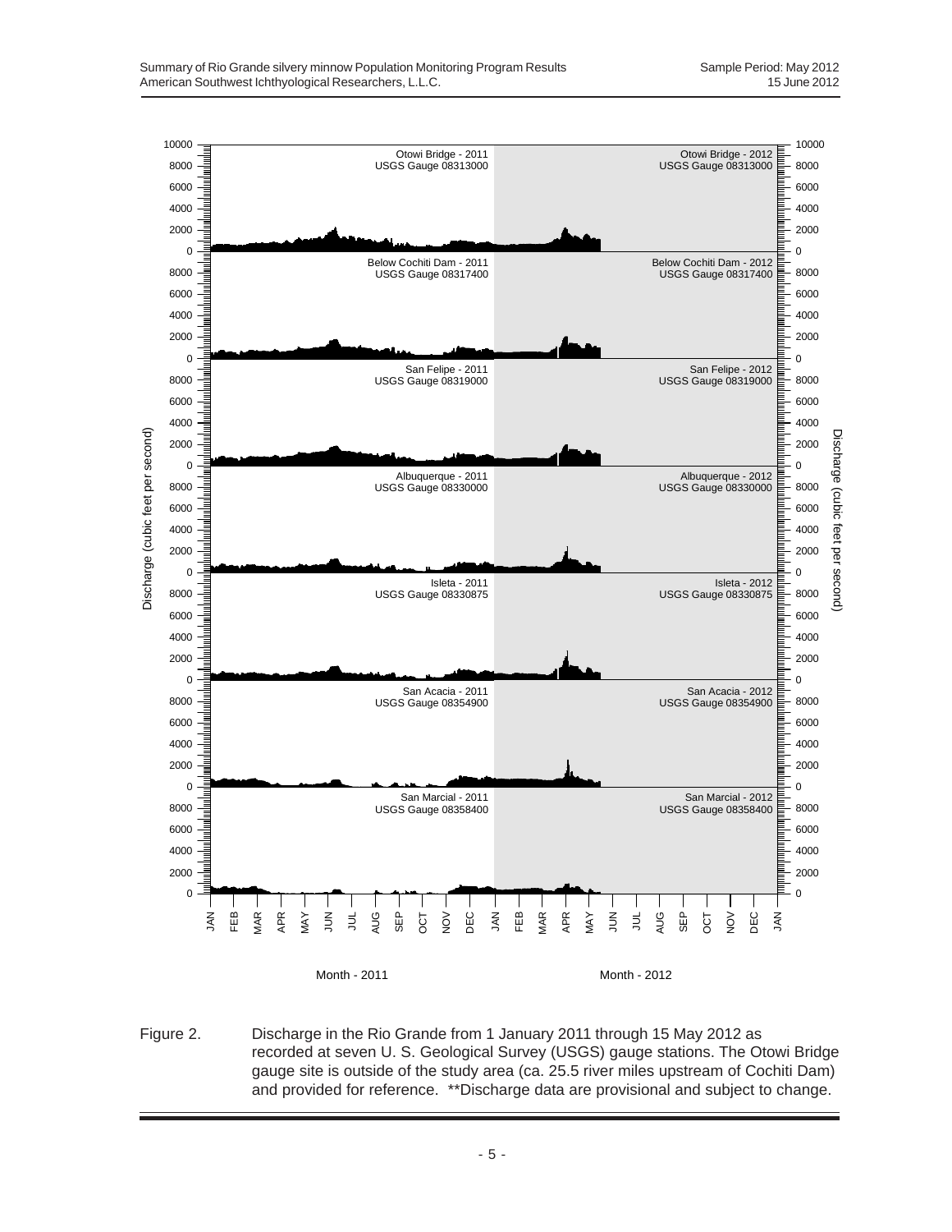

Figure 2. Discharge in the Rio Grande from 1 January 2011 through 15 May 2012 as recorded at seven U. S. Geological Survey (USGS) gauge stations. The Otowi Bridge gauge site is outside of the study area (ca. 25.5 river miles upstream of Cochiti Dam) and provided for reference. \*\*Discharge data are provisional and subject to change.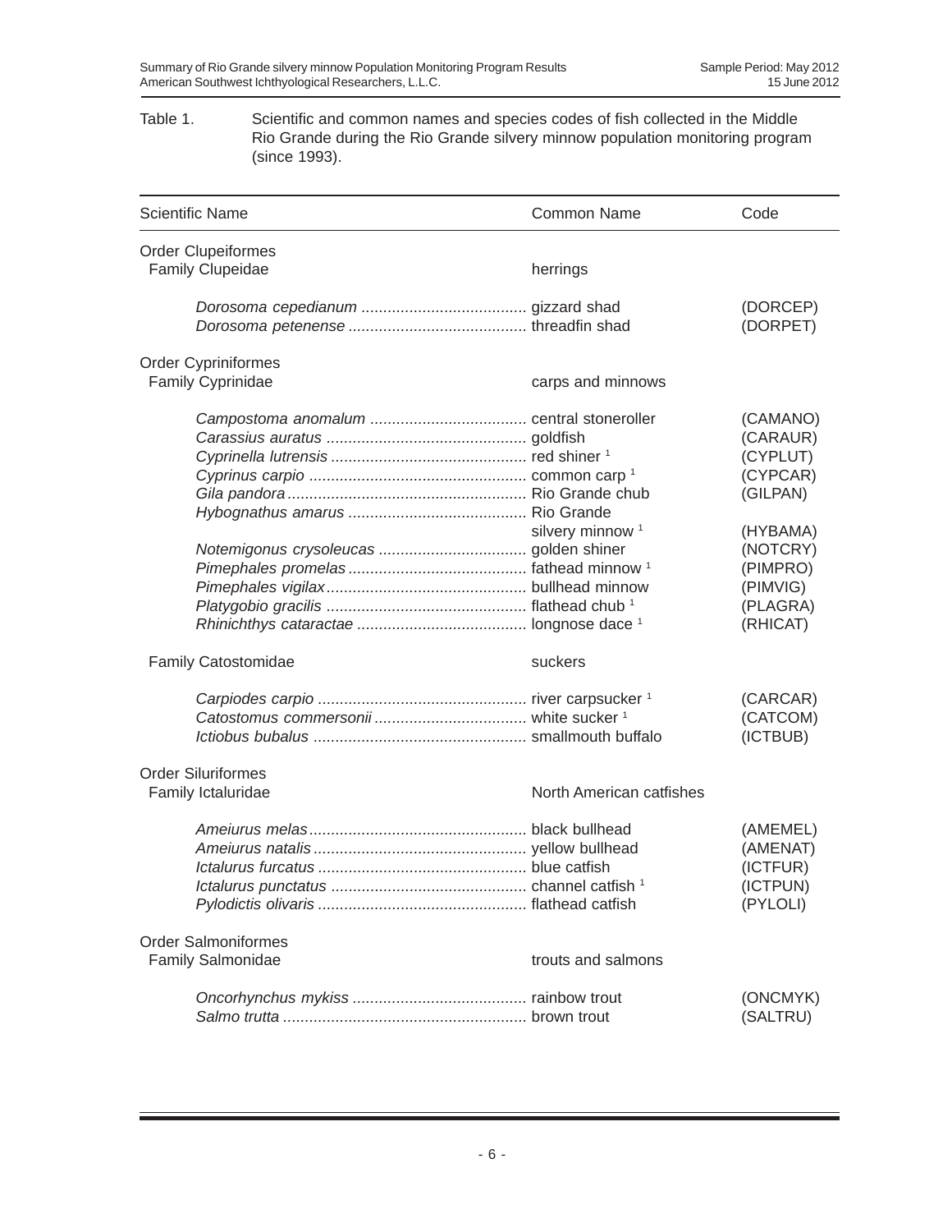### Table 1. Scientific and common names and species codes of fish collected in the Middle Rio Grande during the Rio Grande silvery minnow population monitoring program (since 1993).

| <b>Scientific Name</b>                               | <b>Common Name</b>          | Code                                                                                         |
|------------------------------------------------------|-----------------------------|----------------------------------------------------------------------------------------------|
| <b>Order Clupeiformes</b><br><b>Family Clupeidae</b> | herrings                    |                                                                                              |
|                                                      |                             | (DORCEP)<br>(DORPET)                                                                         |
| <b>Order Cypriniformes</b>                           |                             |                                                                                              |
| Family Cyprinidae                                    | carps and minnows           |                                                                                              |
|                                                      | silvery minnow <sup>1</sup> | (CAMANO)<br>(CARAUR)<br>(CYPLUT)<br>(CYPCAR)<br>(GILPAN)<br>(HYBAMA)<br>(NOTCRY)<br>(PIMPRO) |
|                                                      |                             | (PIMVIG)<br>(PLAGRA)<br>(RHICAT)                                                             |
| Family Catostomidae                                  | suckers                     |                                                                                              |
|                                                      |                             | (CARCAR)<br>(CATCOM)<br>(ICTBUB)                                                             |
| <b>Order Siluriformes</b><br>Family Ictaluridae      | North American catfishes    |                                                                                              |
|                                                      |                             | (AMEMEL)<br>(AMENAT)<br>(ICTFUR)<br>(ICTPUN)<br>(PYLOLI)                                     |
| <b>Order Salmoniformes</b><br>Family Salmonidae      | trouts and salmons          |                                                                                              |
|                                                      |                             | (ONCMYK)<br>(SALTRU)                                                                         |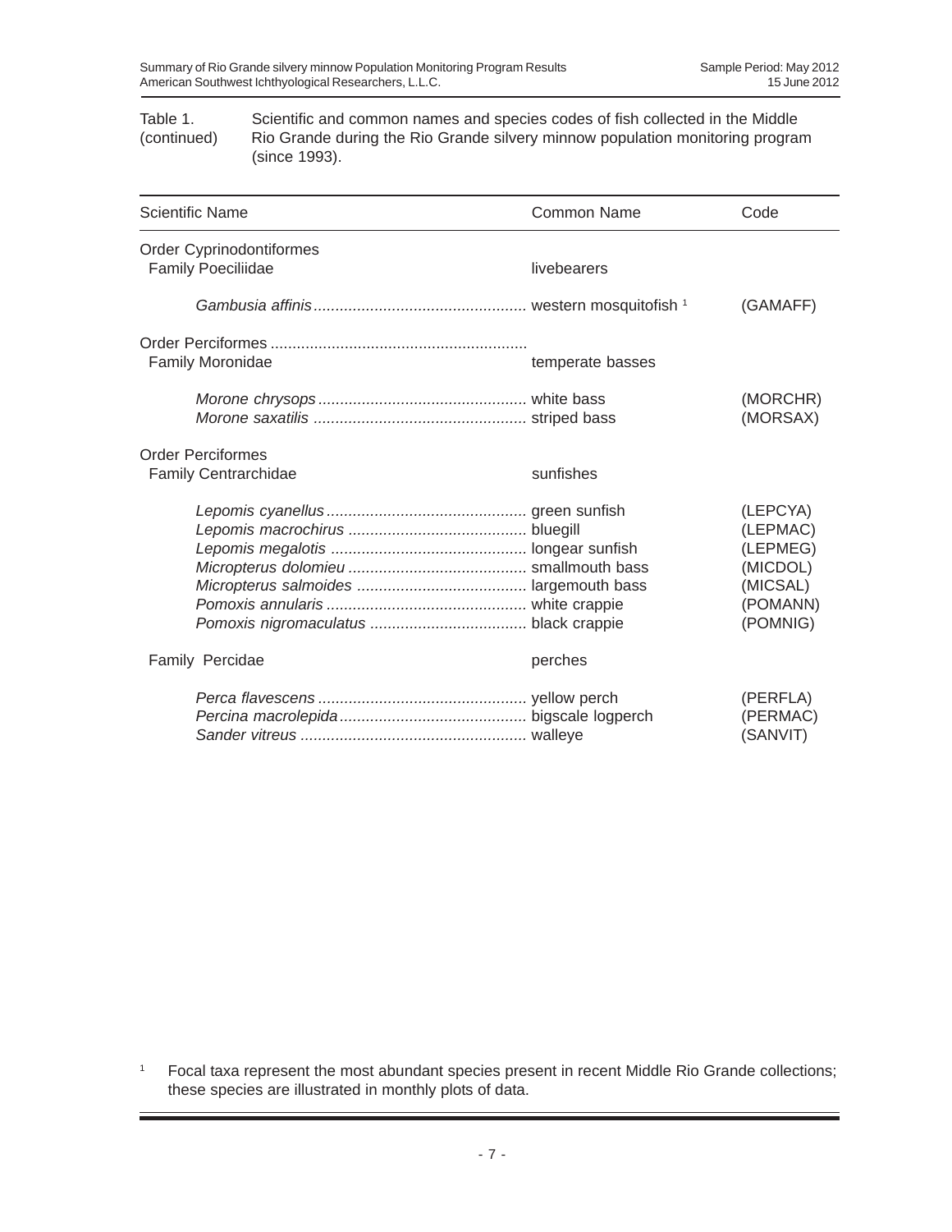Table 1. Scientific and common names and species codes of fish collected in the Middle (continued) Rio Grande during the Rio Grande silvery minnow population monitoring program (since 1993).

| <b>Scientific Name</b>                                | <b>Common Name</b> | Code                                                                             |
|-------------------------------------------------------|--------------------|----------------------------------------------------------------------------------|
| Order Cyprinodontiformes<br><b>Family Poeciliidae</b> | livebearers        |                                                                                  |
|                                                       |                    | (GAMAFF)                                                                         |
| Family Moronidae                                      | temperate basses   |                                                                                  |
|                                                       |                    | (MORCHR)<br>(MORSAX)                                                             |
| <b>Order Perciformes</b><br>Family Centrarchidae      | sunfishes          |                                                                                  |
|                                                       |                    | (LEPCYA)<br>(LEPMAC)<br>(LEPMEG)<br>(MICDOL)<br>(MICSAL)<br>(POMANN)<br>(POMNIG) |
| Family Percidae                                       | perches            |                                                                                  |
|                                                       |                    | (PERFLA)<br>(PERMAC)<br>(SANVIT)                                                 |

<sup>1</sup> Focal taxa represent the most abundant species present in recent Middle Rio Grande collections; these species are illustrated in monthly plots of data.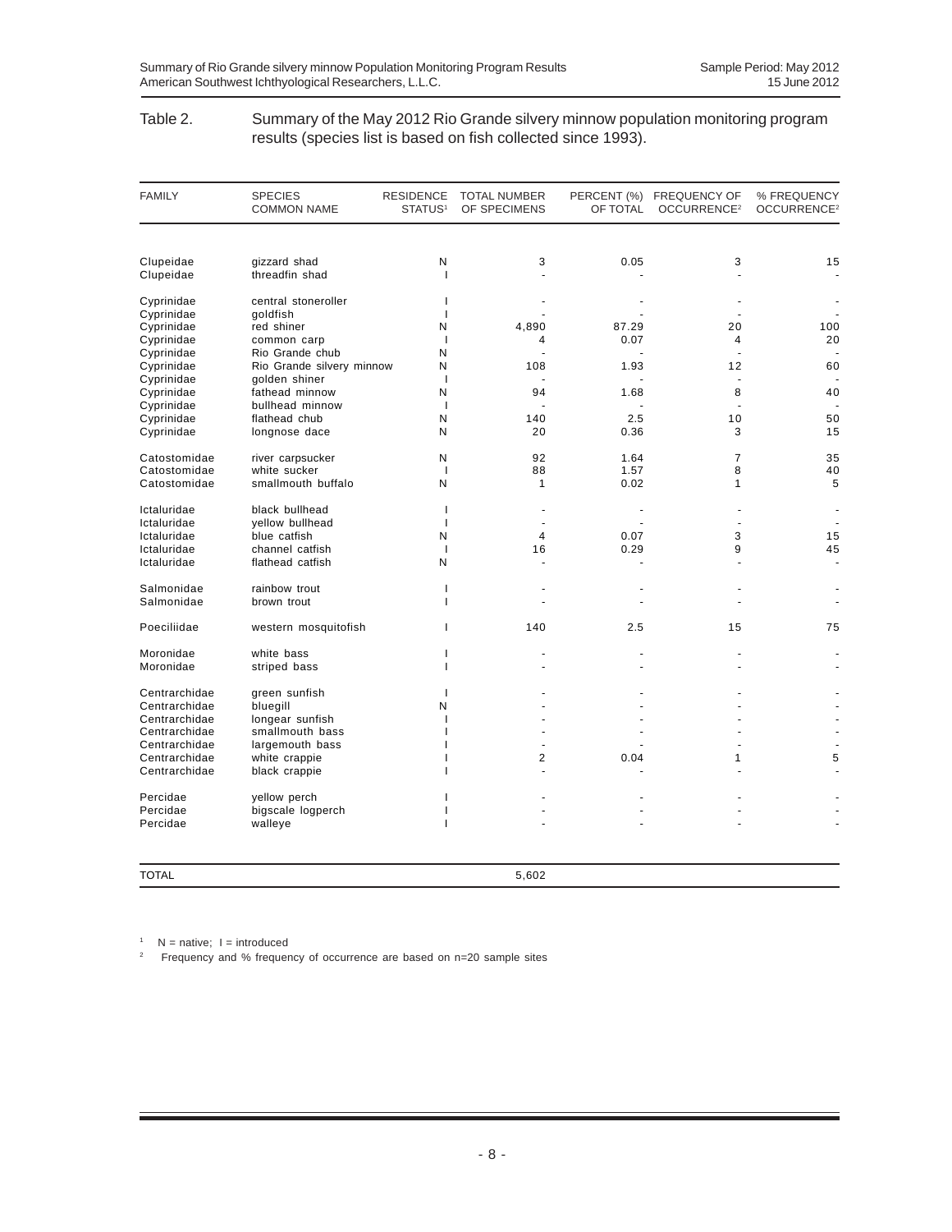#### Table 2. Summary of the May 2012 Rio Grande silvery minnow population monitoring program results (species list is based on fish collected since 1993).

| <b>FAMILY</b> | <b>SPECIES</b><br><b>COMMON NAME</b> | <b>RESIDENCE</b><br>STATUS <sup>1</sup> | <b>TOTAL NUMBER</b><br>OF SPECIMENS | OF TOTAL             | PERCENT (%) FREQUENCY OF<br>OCCURRENCE <sup>2</sup> | % FREQUENCY<br>OCCURRENCE <sup>2</sup> |
|---------------|--------------------------------------|-----------------------------------------|-------------------------------------|----------------------|-----------------------------------------------------|----------------------------------------|
|               |                                      |                                         |                                     |                      |                                                     |                                        |
| Clupeidae     | gizzard shad                         | N                                       | 3                                   | 0.05                 | 3                                                   | 15                                     |
| Clupeidae     | threadfin shad                       | $\mathbf{I}$                            |                                     |                      |                                                     |                                        |
| Cyprinidae    | central stoneroller                  | J.                                      |                                     |                      |                                                     |                                        |
| Cyprinidae    | goldfish                             | <sup>1</sup>                            |                                     |                      |                                                     |                                        |
| Cyprinidae    | red shiner                           | N                                       | 4,890                               | 87.29                | 20                                                  | 100                                    |
| Cyprinidae    | common carp                          | $\overline{1}$                          | 4                                   | 0.07                 | 4                                                   | 20                                     |
| Cyprinidae    | Rio Grande chub                      | N                                       | $\overline{\phantom{a}}$            |                      |                                                     |                                        |
| Cyprinidae    | Rio Grande silvery minnow            | N                                       | 108                                 | 1.93                 | 12                                                  | 60                                     |
| Cyprinidae    | golden shiner                        | $\overline{\phantom{a}}$                |                                     |                      |                                                     |                                        |
| Cyprinidae    | fathead minnow                       | N                                       | 94                                  | 1.68                 | 8                                                   | 40                                     |
| Cyprinidae    | bullhead minnow                      | $\overline{\phantom{a}}$                |                                     |                      | $\overline{a}$                                      |                                        |
| Cyprinidae    | flathead chub                        | N                                       | 140                                 | 2.5                  | 10                                                  | 50                                     |
| Cyprinidae    | longnose dace                        | N                                       | 20                                  | 0.36                 | 3                                                   | 15                                     |
| Catostomidae  | river carpsucker                     | N                                       | 92                                  | 1.64                 | $\overline{7}$                                      | 35                                     |
| Catostomidae  | white sucker                         | $\overline{\phantom{a}}$                | 88                                  | 1.57                 | 8                                                   | 40                                     |
| Catostomidae  | smallmouth buffalo                   | N                                       | 1                                   | 0.02                 | 1                                                   | 5                                      |
| Ictaluridae   | black bullhead                       | $\mathbf{I}$                            | $\ddot{\phantom{1}}$                |                      |                                                     |                                        |
| Ictaluridae   | yellow bullhead                      | $\mathbf{I}$                            | ÷,                                  |                      |                                                     |                                        |
| Ictaluridae   | blue catfish                         | N                                       | $\overline{4}$                      | 0.07                 | 3                                                   | 15                                     |
| Ictaluridae   | channel catfish                      | $\overline{1}$                          | 16                                  | 0.29                 | 9                                                   | 45                                     |
| Ictaluridae   | flathead catfish                     | N                                       | $\ddot{\phantom{1}}$                | $\ddot{\phantom{1}}$ |                                                     | ÷,                                     |
| Salmonidae    | rainbow trout                        | T                                       |                                     |                      |                                                     |                                        |
| Salmonidae    | brown trout                          | $\mathbf{I}$                            |                                     |                      |                                                     |                                        |
| Poeciliidae   | western mosquitofish                 | т                                       | 140                                 | 2.5                  | 15                                                  | 75                                     |
| Moronidae     | white bass                           | ı                                       |                                     |                      |                                                     |                                        |
| Moronidae     | striped bass                         | ı                                       |                                     |                      |                                                     |                                        |
| Centrarchidae | green sunfish                        | $\mathbf{I}$                            |                                     |                      |                                                     |                                        |
| Centrarchidae | bluegill                             | N                                       |                                     |                      |                                                     |                                        |
| Centrarchidae | longear sunfish                      | I                                       |                                     |                      |                                                     |                                        |
| Centrarchidae | smallmouth bass                      | ı                                       | $\ddot{\phantom{1}}$                |                      |                                                     |                                        |
| Centrarchidae | largemouth bass                      |                                         |                                     |                      |                                                     |                                        |
| Centrarchidae | white crappie                        |                                         | 2                                   | 0.04                 | 1                                                   | 5                                      |
| Centrarchidae | black crappie                        |                                         |                                     |                      |                                                     |                                        |
| Percidae      | yellow perch                         |                                         |                                     |                      |                                                     |                                        |
| Percidae      | bigscale logperch                    |                                         |                                     |                      |                                                     |                                        |
| Percidae      | walleye                              | ı                                       |                                     |                      |                                                     |                                        |
|               |                                      |                                         |                                     |                      |                                                     |                                        |
| <b>TOTAL</b>  |                                      |                                         | 5,602                               |                      |                                                     |                                        |

 $1$  N = native;  $1 =$  introduced

2 Frequency and % frequency of occurrence are based on n=20 sample sites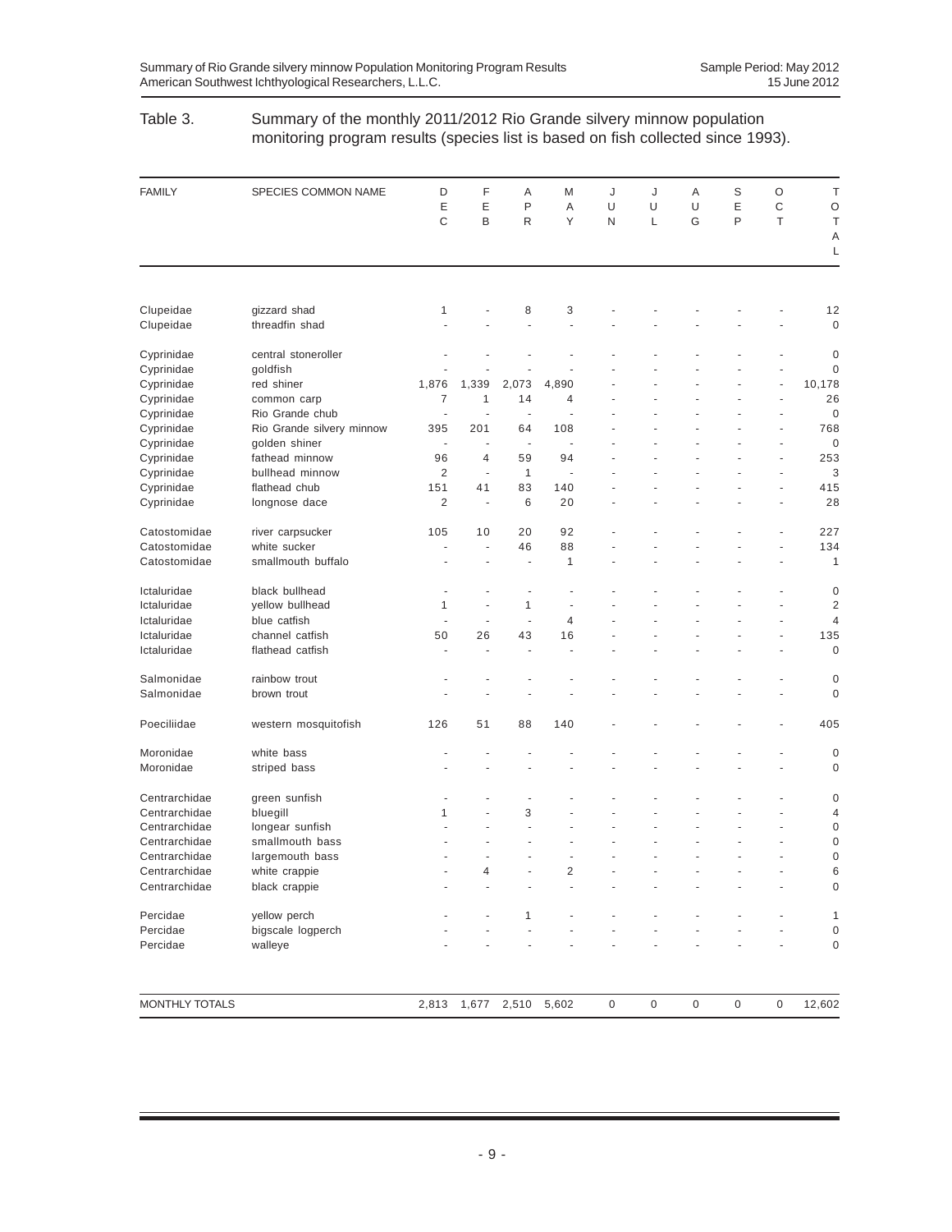### Table 3. Summary of the monthly 2011/2012 Rio Grande silvery minnow population monitoring program results (species list is based on fish collected since 1993).

| <b>FAMILY</b>          | SPECIES COMMON NAME             | D<br>E<br>C    | F<br>E<br>B              | Α<br>P<br>$\mathsf{R}$ | M<br>Α<br>Y | J<br>U<br>N | J<br>U<br>L | Α<br>U<br>G | S<br>Ε<br>P | O<br>C<br>T | Τ<br>$\circ$<br>T |
|------------------------|---------------------------------|----------------|--------------------------|------------------------|-------------|-------------|-------------|-------------|-------------|-------------|-------------------|
|                        |                                 |                |                          |                        |             |             |             |             |             |             | A<br>L            |
|                        |                                 |                |                          |                        |             |             |             |             |             |             |                   |
| Clupeidae<br>Clupeidae | gizzard shad<br>threadfin shad  | 1              |                          | 8                      | 3           |             |             |             |             |             | 12<br>$\mathbf 0$ |
|                        |                                 |                |                          |                        |             |             |             |             |             |             |                   |
| Cyprinidae             | central stoneroller             |                |                          |                        |             |             |             |             |             |             | $\mathbf 0$       |
| Cyprinidae             | goldfish                        |                |                          |                        |             |             |             |             |             |             | $\mathbf 0$       |
| Cyprinidae             | red shiner                      | 1,876          | 1,339                    | 2,073                  | 4,890       |             |             |             |             |             | 10,178            |
| Cyprinidae             | common carp                     | 7              | 1                        | 14                     | 4           |             |             |             |             |             | 26                |
| Cyprinidae             | Rio Grande chub                 |                |                          | ÷,                     |             |             |             |             |             |             | $\mathbf 0$       |
| Cyprinidae             | Rio Grande silvery minnow       | 395            | 201                      | 64                     | 108         |             |             |             |             |             | 768               |
| Cyprinidae             | golden shiner                   | ÷,             |                          | ÷                      |             |             |             |             |             |             | $\mathbf 0$       |
| Cyprinidae             | fathead minnow                  | 96             | $\overline{4}$           | 59                     | 94          |             |             |             |             |             | 253               |
| Cyprinidae             | bullhead minnow                 | $\overline{2}$ | $\overline{\phantom{a}}$ | 1                      | ä,          |             |             |             |             |             | 3                 |
| Cyprinidae             | flathead chub                   | 151            | 41                       | 83                     | 140         |             |             |             |             |             | 415               |
| Cyprinidae             | longnose dace                   | $\overline{c}$ | ÷,                       | 6                      | 20          |             |             |             |             |             | 28                |
| Catostomidae           | river carpsucker                | 105            | 10                       | 20                     | 92          |             |             |             |             |             | 227               |
| Catostomidae           | white sucker                    | ٠              | ÷,                       | 46                     | 88          |             |             |             |             |             | 134               |
| Catostomidae           | smallmouth buffalo              |                |                          | ٠                      | 1           |             |             |             |             |             | 1                 |
| Ictaluridae            | black bullhead                  |                |                          |                        |             |             |             |             |             |             | 0                 |
|                        |                                 |                | $\overline{a}$           |                        |             |             |             |             |             |             |                   |
| Ictaluridae            | yellow bullhead<br>blue catfish | 1              |                          | 1                      | ä,          |             |             |             |             |             | $\overline{2}$    |
| Ictaluridae            |                                 |                | ÷,                       | ÷,                     | 4           |             |             |             |             |             | $\overline{4}$    |
| Ictaluridae            | channel catfish                 | 50             | 26                       | 43                     | 16          |             |             |             |             |             | 135               |
| Ictaluridae            | flathead catfish                | ÷,             |                          | ÷,                     |             |             |             |             |             |             | $\mathbf 0$       |
| Salmonidae             | rainbow trout                   |                |                          |                        |             |             |             |             |             |             | $\mathbf 0$       |
| Salmonidae             | brown trout                     |                |                          |                        |             |             |             |             |             |             | $\mathbf 0$       |
| Poeciliidae            | western mosquitofish            | 126            | 51                       | 88                     | 140         |             |             |             |             |             | 405               |
| Moronidae              | white bass                      |                |                          |                        |             |             |             |             |             |             | $\mathbf 0$       |
| Moronidae              | striped bass                    |                |                          |                        |             |             |             |             |             |             | $\mathbf 0$       |
| Centrarchidae          | green sunfish                   |                |                          |                        |             |             |             |             |             |             | 0                 |
| Centrarchidae          | bluegill                        | 1              |                          | 3                      |             |             |             |             |             |             | 4                 |
| Centrarchidae          | longear sunfish                 |                |                          | ٠                      |             |             |             |             |             |             | $\mathbf 0$       |
| Centrarchidae          | smallmouth bass                 |                |                          |                        |             |             |             |             |             |             | $\mathbf 0$       |
| Centrarchidae          | largemouth bass                 |                |                          |                        |             |             |             |             |             |             | $\mathbf 0$       |
| Centrarchidae          | white crappie                   |                | 4                        |                        | 2           |             |             |             |             |             | 6                 |
| Centrarchidae          | black crappie                   |                |                          |                        |             |             |             |             |             |             | $\boldsymbol{0}$  |
|                        |                                 |                |                          |                        |             |             |             |             |             |             |                   |
| Percidae               | yellow perch                    |                |                          | 1                      |             |             |             |             |             |             | 1                 |
| Percidae               | bigscale logperch               |                |                          |                        |             |             |             |             |             |             | 0                 |
| Percidae               | walleye                         |                |                          |                        |             |             |             |             |             |             | $\boldsymbol{0}$  |
| MONTHLY TOTALS         |                                 | 2,813          | 1,677                    | 2,510                  | 5,602       | $\pmb{0}$   | $\mathbf 0$ | $\mathsf 0$ | $\mathbf 0$ | 0           | 12,602            |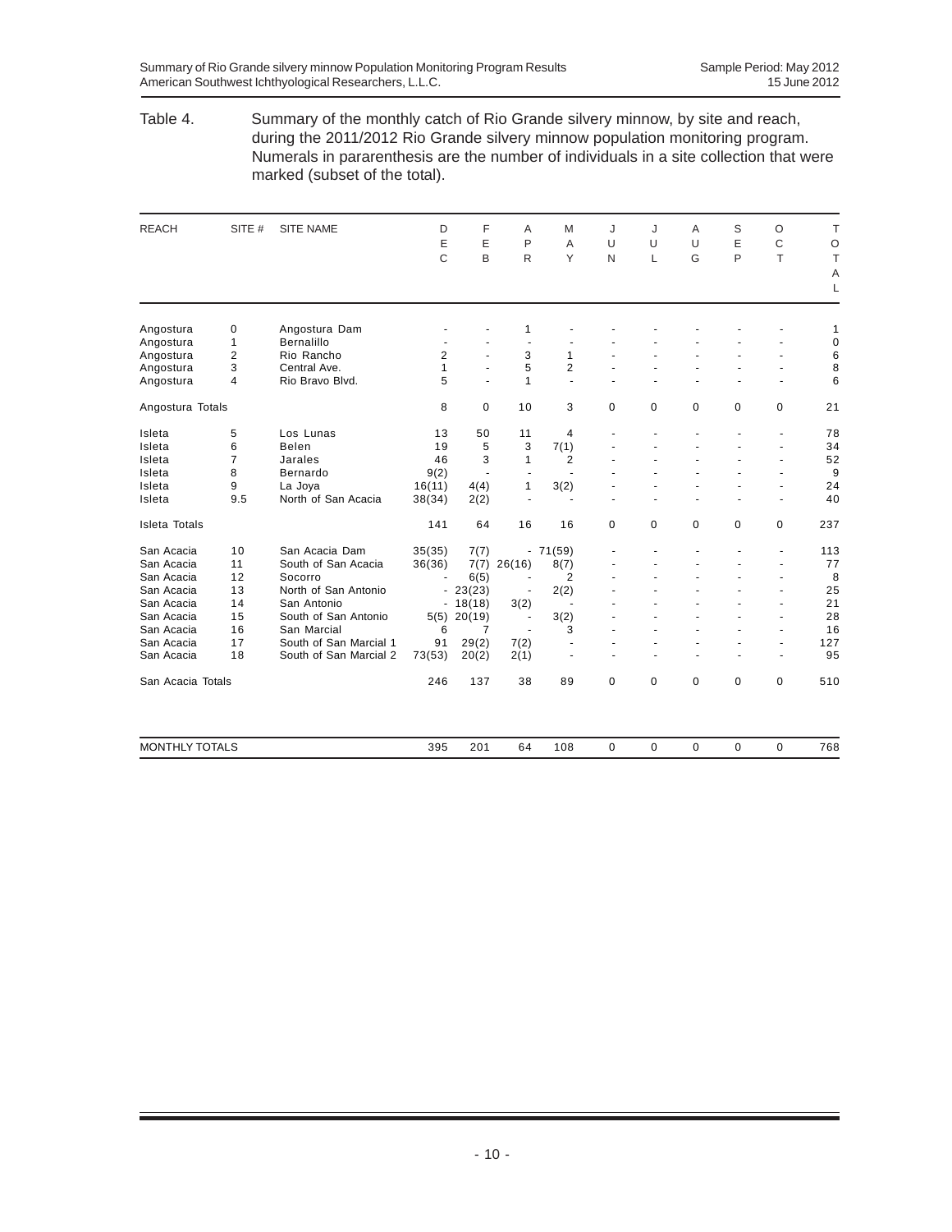#### Table 4. Summary of the monthly catch of Rio Grande silvery minnow, by site and reach, during the 2011/2012 Rio Grande silvery minnow population monitoring program. Numerals in pararenthesis are the number of individuals in a site collection that were marked (subset of the total).

| <b>REACH</b>          | SITE #         | <b>SITE NAME</b>       | D      | F             | A              | M                    | J           | J           | Α      | S           | $\circ$              | T           |
|-----------------------|----------------|------------------------|--------|---------------|----------------|----------------------|-------------|-------------|--------|-------------|----------------------|-------------|
|                       |                |                        | E      | E             | P              | A                    | U           | U           | $\cup$ | E           | C                    | $\circ$     |
|                       |                |                        | C      | B             | $\mathsf{R}$   | Y                    | N           | L           | G      | P           | T                    | T           |
|                       |                |                        |        |               |                |                      |             |             |        |             |                      |             |
|                       |                |                        |        |               |                |                      |             |             |        |             |                      | Α<br>L      |
| Angostura             | 0              | Angostura Dam          |        |               | 1              |                      |             |             |        |             |                      | 1           |
| Angostura             | $\mathbf{1}$   | <b>Bernalillo</b>      | ٠      |               | $\blacksquare$ | ÷,                   |             |             |        |             |                      | $\mathbf 0$ |
| Angostura             | $\overline{2}$ | Rio Rancho             | 2      | ÷.            | 3              | 1                    |             |             |        |             |                      | 6           |
| Angostura             | 3              | Central Ave.           | 1      |               | 5              | $\overline{2}$       |             |             |        |             |                      | 8           |
| Angostura             | $\overline{4}$ | Rio Bravo Blvd.        | 5      | ÷.            | 1              | $\overline{a}$       | ä,          |             |        |             | $\ddot{\phantom{1}}$ | 6           |
| Angostura Totals      |                |                        | 8      | 0             | 10             | 3                    | $\mathbf 0$ | $\mathbf 0$ | 0      | $\mathbf 0$ | 0                    | 21          |
| Isleta                | 5              | Los Lunas              | 13     | 50            | 11             | 4                    |             |             |        |             | ÷,                   | 78          |
| Isleta                | 6              | Belen                  | 19     | 5             | 3              | 7(1)                 |             |             |        | ÷,          | $\blacksquare$       | 34          |
| Isleta                | $\overline{7}$ | Jarales                | 46     | 3             | 1              | $\overline{2}$       |             |             |        | ä,          | ä,                   | 52          |
| Isleta                | 8              | Bernardo               | 9(2)   | ÷.            |                | ä,                   |             |             |        |             | ä,                   | 9           |
| Isleta                | 9              | La Joya                | 16(11) | 4(4)          | 1              | 3(2)                 |             |             |        |             | $\ddot{\phantom{1}}$ | 24          |
| Isleta                | 9.5            | North of San Acacia    | 38(34) | 2(2)          | $\blacksquare$ | $\blacksquare$       |             |             |        |             | $\blacksquare$       | 40          |
| <b>Isleta Totals</b>  |                |                        | 141    | 64            | 16             | 16                   | $\mathbf 0$ | $\mathbf 0$ | 0      | 0           | 0                    | 237         |
| San Acacia            | 10             | San Acacia Dam         | 35(35) | 7(7)          |                | $-71(59)$            |             |             |        |             | ÷,                   | 113         |
| San Acacia            | 11             | South of San Acacia    | 36(36) | 7(7)          | 26(16)         | 8(7)                 |             |             |        |             | $\blacksquare$       | 77          |
| San Acacia            | 12             | Socorro                |        | 6(5)          |                | $\overline{2}$       |             |             |        |             |                      | 8           |
| San Acacia            | 13             | North of San Antonio   |        | $-23(23)$     |                | 2(2)                 |             |             |        |             | ä,                   | 25          |
| San Acacia            | 14             | San Antonio            |        | $-18(18)$     | 3(2)           | $\ddot{\phantom{1}}$ |             |             |        |             | Ĭ.                   | 21          |
| San Acacia            | 15             | South of San Antonio   |        | $5(5)$ 20(19) | $\blacksquare$ | 3(2)                 |             |             |        |             | $\blacksquare$       | 28          |
| San Acacia            | 16             | San Marcial            | 6      | 7             | $\blacksquare$ | 3                    |             |             |        |             | ä,                   | 16          |
| San Acacia            | 17             | South of San Marcial 1 | 91     | 29(2)         | 7(2)           | ٠                    |             |             |        |             | ä,                   | 127         |
| San Acacia            | 18             | South of San Marcial 2 | 73(53) | 20(2)         | 2(1)           | $\ddot{\phantom{1}}$ | ä,          |             |        |             | $\ddot{\phantom{1}}$ | 95          |
| San Acacia Totals     |                |                        | 246    | 137           | 38             | 89                   | $\mathbf 0$ | $\mathbf 0$ | 0      | $\Omega$    | 0                    | 510         |
| <b>MONTHLY TOTALS</b> |                |                        | 395    | 201           | 64             | 108                  | $\mathbf 0$ | $\mathbf 0$ | 0      | $\mathbf 0$ | $\mathbf 0$          | 768         |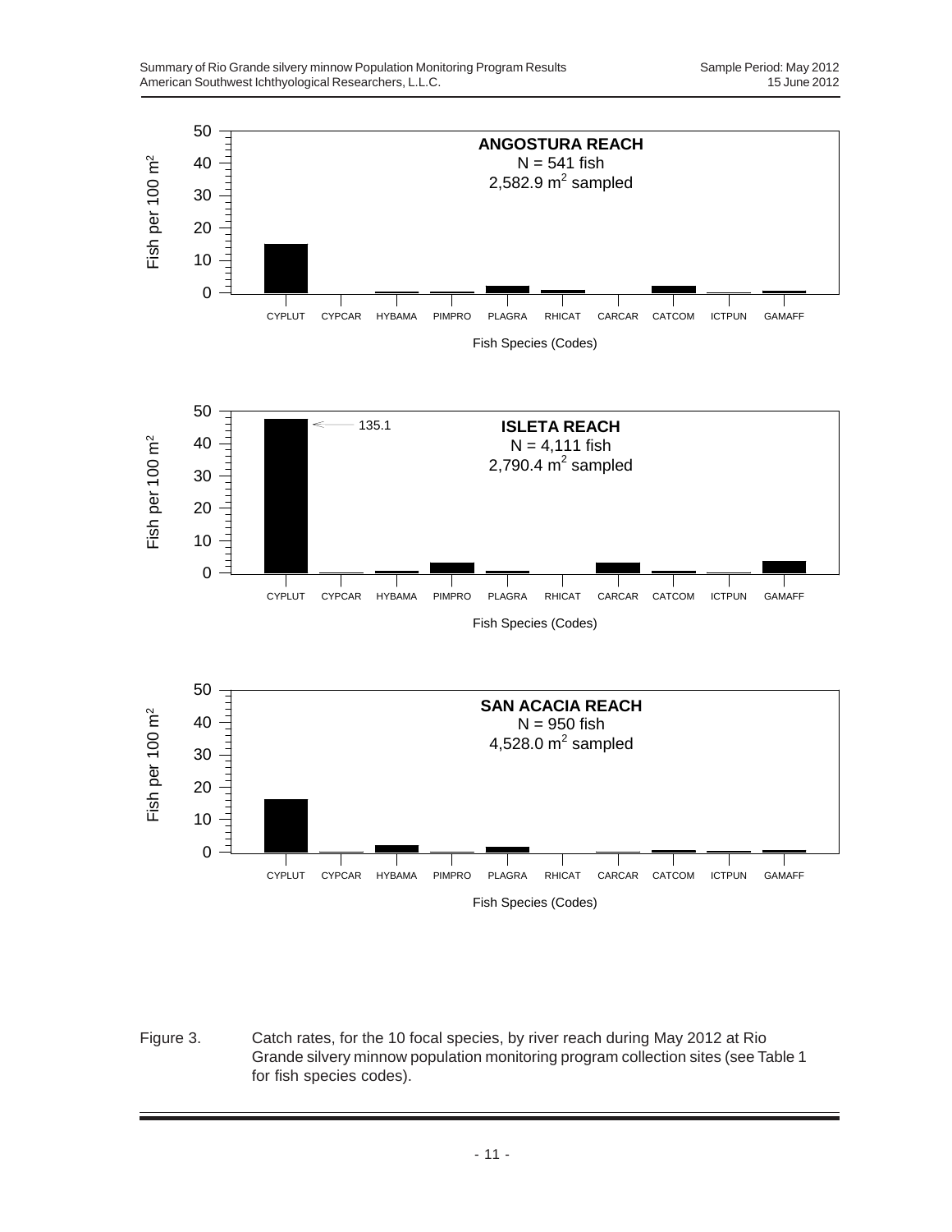

Figure 3. Catch rates, for the 10 focal species, by river reach during May 2012 at Rio Grande silvery minnow population monitoring program collection sites (see Table 1 for fish species codes).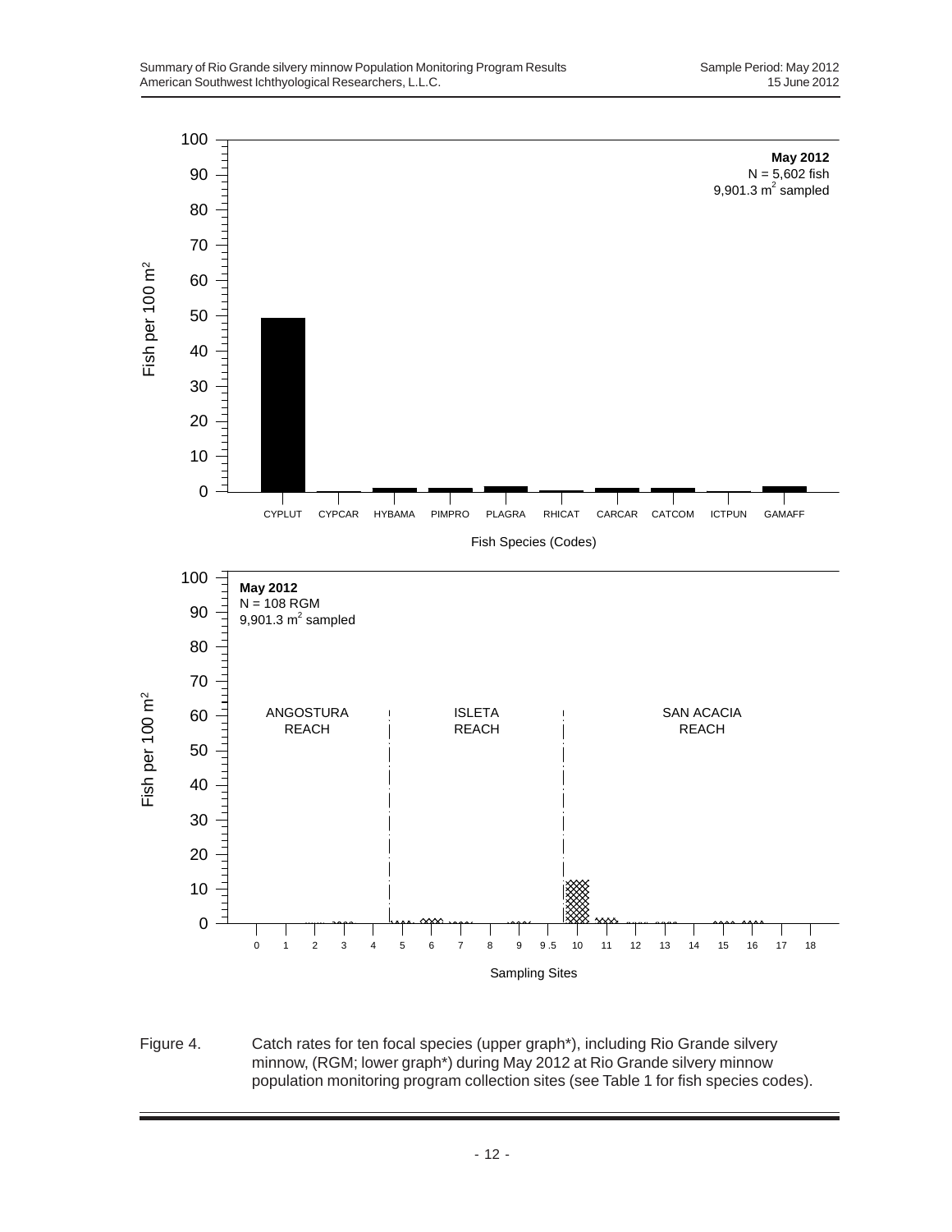

Figure 4. Catch rates for ten focal species (upper graph\*), including Rio Grande silvery minnow, (RGM; lower graph\*) during May 2012 at Rio Grande silvery minnow population monitoring program collection sites (see Table 1 for fish species codes).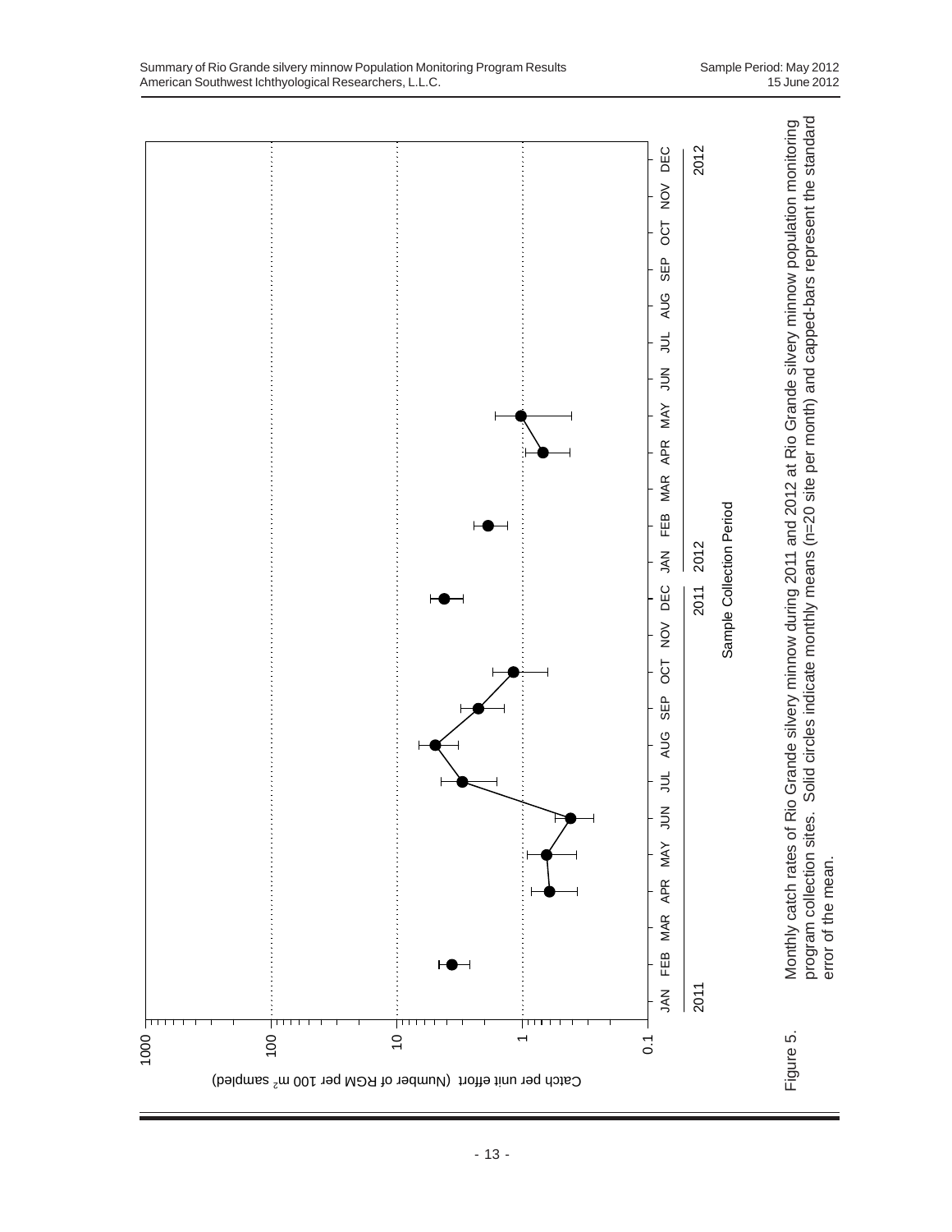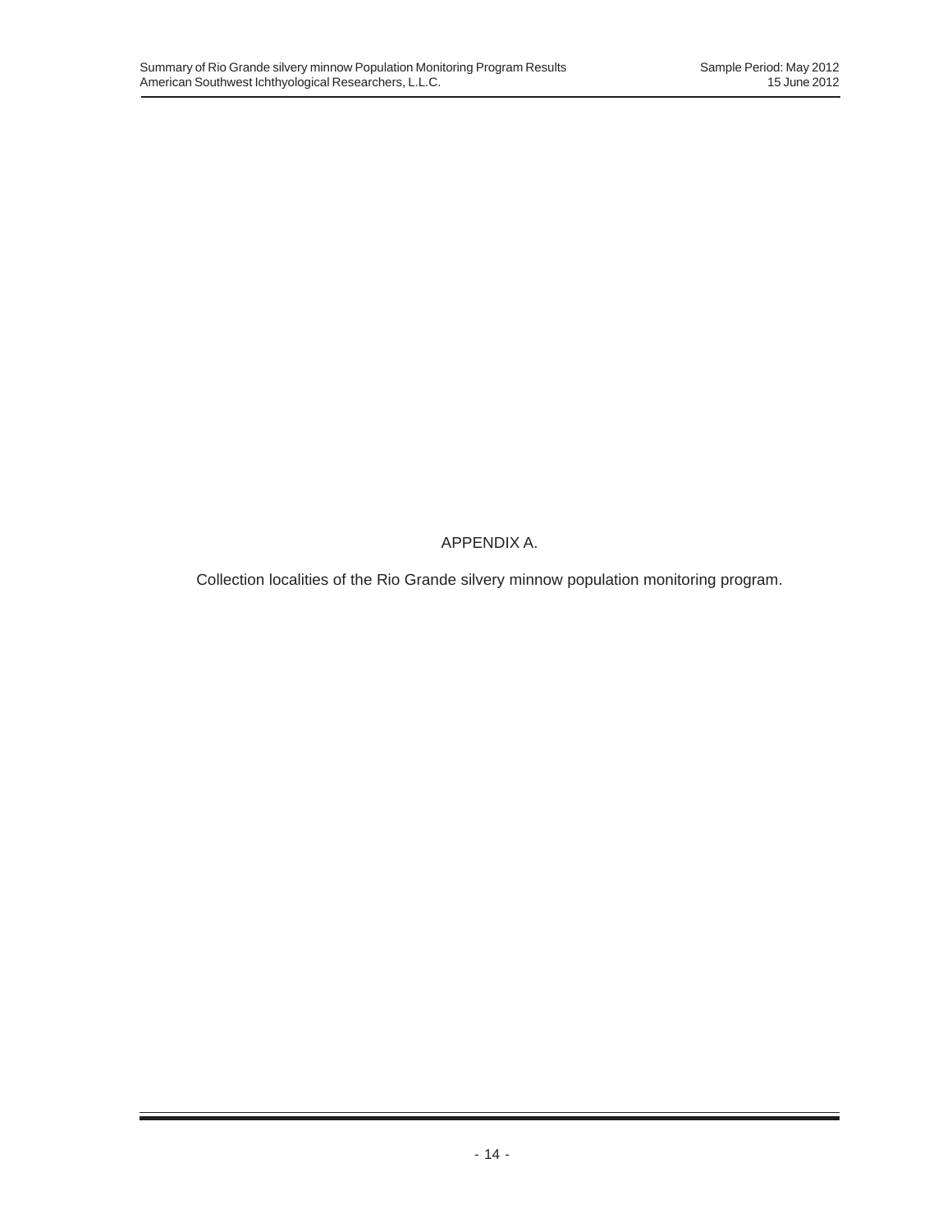APPENDIX A.

Collection localities of the Rio Grande silvery minnow population monitoring program.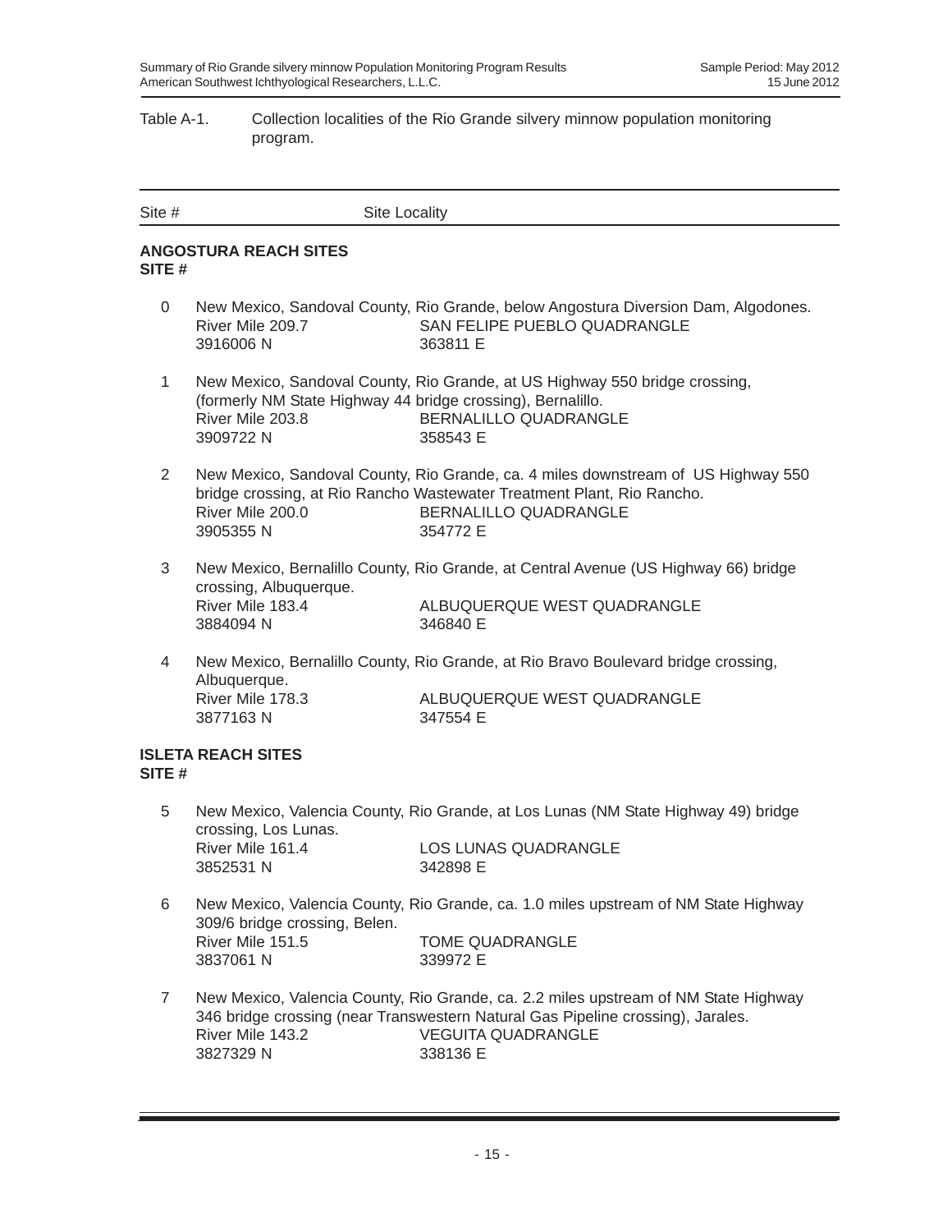### Table A-1. Collection localities of the Rio Grande silvery minnow population monitoring program.

| Site #         | <b>Site Locality</b>                                                                         |                                                                                                                                                                                                                 |
|----------------|----------------------------------------------------------------------------------------------|-----------------------------------------------------------------------------------------------------------------------------------------------------------------------------------------------------------------|
| SITE #         | <b>ANGOSTURA REACH SITES</b>                                                                 |                                                                                                                                                                                                                 |
| 0              | River Mile 209.7<br>3916006N                                                                 | New Mexico, Sandoval County, Rio Grande, below Angostura Diversion Dam, Algodones.<br>SAN FELIPE PUEBLO QUADRANGLE<br>363811 E                                                                                  |
| $\mathbf{1}$   | (formerly NM State Highway 44 bridge crossing), Bernalillo.<br>River Mile 203.8<br>3909722 N | New Mexico, Sandoval County, Rio Grande, at US Highway 550 bridge crossing,<br>BERNALILLO QUADRANGLE<br>358543 E                                                                                                |
| $\overline{2}$ | River Mile 200.0<br>3905355N                                                                 | New Mexico, Sandoval County, Rio Grande, ca. 4 miles downstream of US Highway 550<br>bridge crossing, at Rio Rancho Wastewater Treatment Plant, Rio Rancho.<br>BERNALILLO QUADRANGLE<br>354772 E                |
| 3              | crossing, Albuquerque.<br>River Mile 183.4<br>3884094 N                                      | New Mexico, Bernalillo County, Rio Grande, at Central Avenue (US Highway 66) bridge<br>ALBUQUERQUE WEST QUADRANGLE<br>346840 E                                                                                  |
| $\overline{4}$ | Albuquerque.<br>River Mile 178.3<br>3877163N                                                 | New Mexico, Bernalillo County, Rio Grande, at Rio Bravo Boulevard bridge crossing,<br>ALBUQUERQUE WEST QUADRANGLE<br>347554 E                                                                                   |
| SITE#          | <b>ISLETA REACH SITES</b>                                                                    |                                                                                                                                                                                                                 |
| 5              | crossing, Los Lunas.<br>River Mile 161.4<br>3852531 N                                        | New Mexico, Valencia County, Rio Grande, at Los Lunas (NM State Highway 49) bridge<br><b>LOS LUNAS QUADRANGLE</b><br>342898 E                                                                                   |
| 6              |                                                                                              | New Mexico, Valencia County, Rio Grande, ca. 1.0 miles upstream of NM State Highway                                                                                                                             |
|                | 309/6 bridge crossing, Belen.<br>River Mile 151.5<br>3837061 N                               | <b>TOME QUADRANGLE</b><br>339972 E                                                                                                                                                                              |
| $\overline{7}$ | River Mile 143.2<br>3827329 N                                                                | New Mexico, Valencia County, Rio Grande, ca. 2.2 miles upstream of NM State Highway<br>346 bridge crossing (near Transwestern Natural Gas Pipeline crossing), Jarales.<br><b>VEGUITA QUADRANGLE</b><br>338136 E |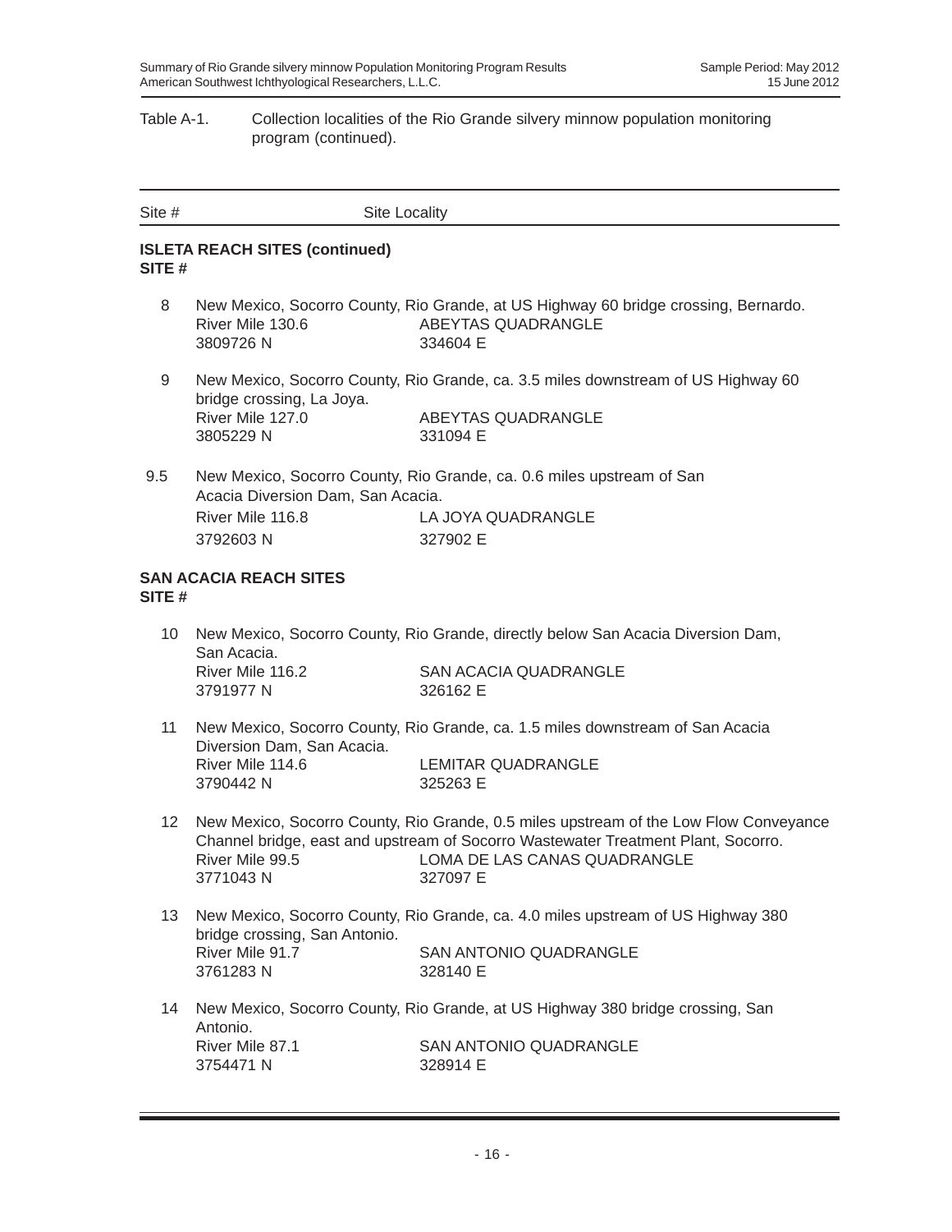### Table A-1. Collection localities of the Rio Grande silvery minnow population monitoring program (continued).

| Site $#$          | Site Locality                                                     |                                                                                                                                                                                                                        |
|-------------------|-------------------------------------------------------------------|------------------------------------------------------------------------------------------------------------------------------------------------------------------------------------------------------------------------|
| SITE#             | <b>ISLETA REACH SITES (continued)</b>                             |                                                                                                                                                                                                                        |
| 8                 | River Mile 130.6<br>3809726N                                      | New Mexico, Socorro County, Rio Grande, at US Highway 60 bridge crossing, Bernardo.<br>ABEYTAS QUADRANGLE<br>334604 E                                                                                                  |
| 9                 | bridge crossing, La Joya.<br>River Mile 127.0<br>3805229 N        | New Mexico, Socorro County, Rio Grande, ca. 3.5 miles downstream of US Highway 60<br>ABEYTAS QUADRANGLE<br>331094 E                                                                                                    |
| 9.5               | Acacia Diversion Dam, San Acacia.<br>River Mile 116.8<br>3792603N | New Mexico, Socorro County, Rio Grande, ca. 0.6 miles upstream of San<br>LA JOYA QUADRANGLE<br>327902 E                                                                                                                |
| SITE #            | <b>SAN ACACIA REACH SITES</b>                                     |                                                                                                                                                                                                                        |
| 10                | San Acacia.<br>River Mile 116.2<br>3791977 N                      | New Mexico, Socorro County, Rio Grande, directly below San Acacia Diversion Dam,<br><b>SAN ACACIA QUADRANGLE</b><br>326162 E                                                                                           |
| 11                | Diversion Dam, San Acacia.<br>River Mile 114.6<br>3790442 N       | New Mexico, Socorro County, Rio Grande, ca. 1.5 miles downstream of San Acacia<br><b>LEMITAR QUADRANGLE</b><br>325263 E                                                                                                |
| $12 \overline{ }$ | River Mile 99.5<br>3771043N                                       | New Mexico, Socorro County, Rio Grande, 0.5 miles upstream of the Low Flow Conveyance<br>Channel bridge, east and upstream of Socorro Wastewater Treatment Plant, Socorro.<br>LOMA DE LAS CANAS QUADRANGLE<br>327097 E |
| 13                | bridge crossing, San Antonio.<br>River Mile 91.7<br>3761283N      | New Mexico, Socorro County, Rio Grande, ca. 4.0 miles upstream of US Highway 380<br>SAN ANTONIO QUADRANGLE<br>328140 E                                                                                                 |
| 14                | Antonio.<br>River Mile 87.1<br>3754471 N                          | New Mexico, Socorro County, Rio Grande, at US Highway 380 bridge crossing, San<br>SAN ANTONIO QUADRANGLE<br>328914 E                                                                                                   |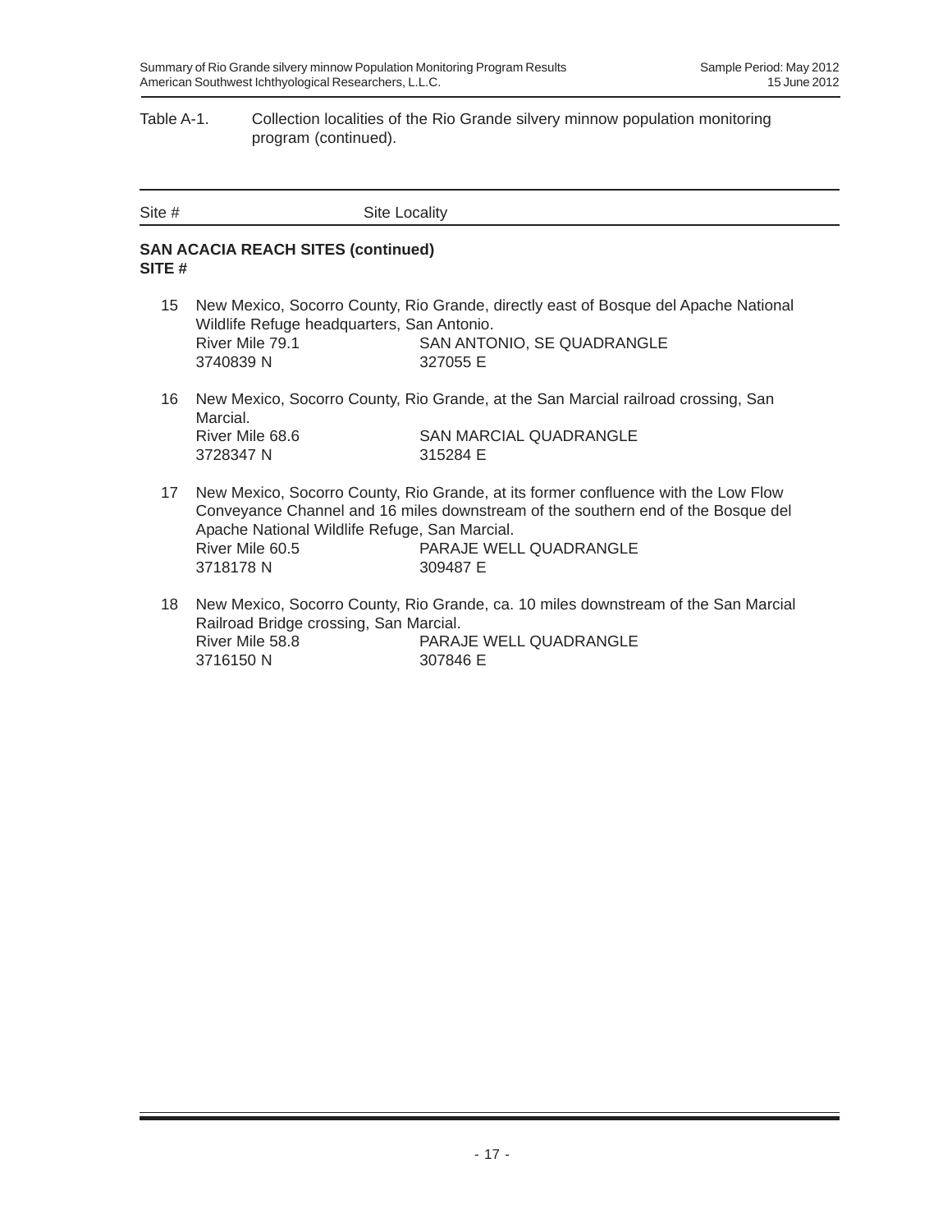#### Table A-1. Collection localities of the Rio Grande silvery minnow population monitoring program (continued).

| Site # | <b>Site Locality</b> |
|--------|----------------------|
|        |                      |

### **SAN ACACIA REACH SITES (continued) SITE #**

- 15 New Mexico, Socorro County, Rio Grande, directly east of Bosque del Apache National Wildlife Refuge headquarters, San Antonio. River Mile 79.1 SAN ANTONIO, SE QUADRANGLE 3740839 N 327055 E
- 16 New Mexico, Socorro County, Rio Grande, at the San Marcial railroad crossing, San Marcial. River Mile 68.6 SAN MARCIAL QUADRANGLE 3728347 N 315284 E
- 17 New Mexico, Socorro County, Rio Grande, at its former confluence with the Low Flow Conveyance Channel and 16 miles downstream of the southern end of the Bosque del Apache National Wildlife Refuge, San Marcial. River Mile 60.5 PARAJE WELL QUADRANGLE 3718178 N 309487 E
- 18 New Mexico, Socorro County, Rio Grande, ca. 10 miles downstream of the San Marcial Railroad Bridge crossing, San Marcial. River Mile 58.8 PARAJE WELL QUADRANGLE 3716150 N 307846 E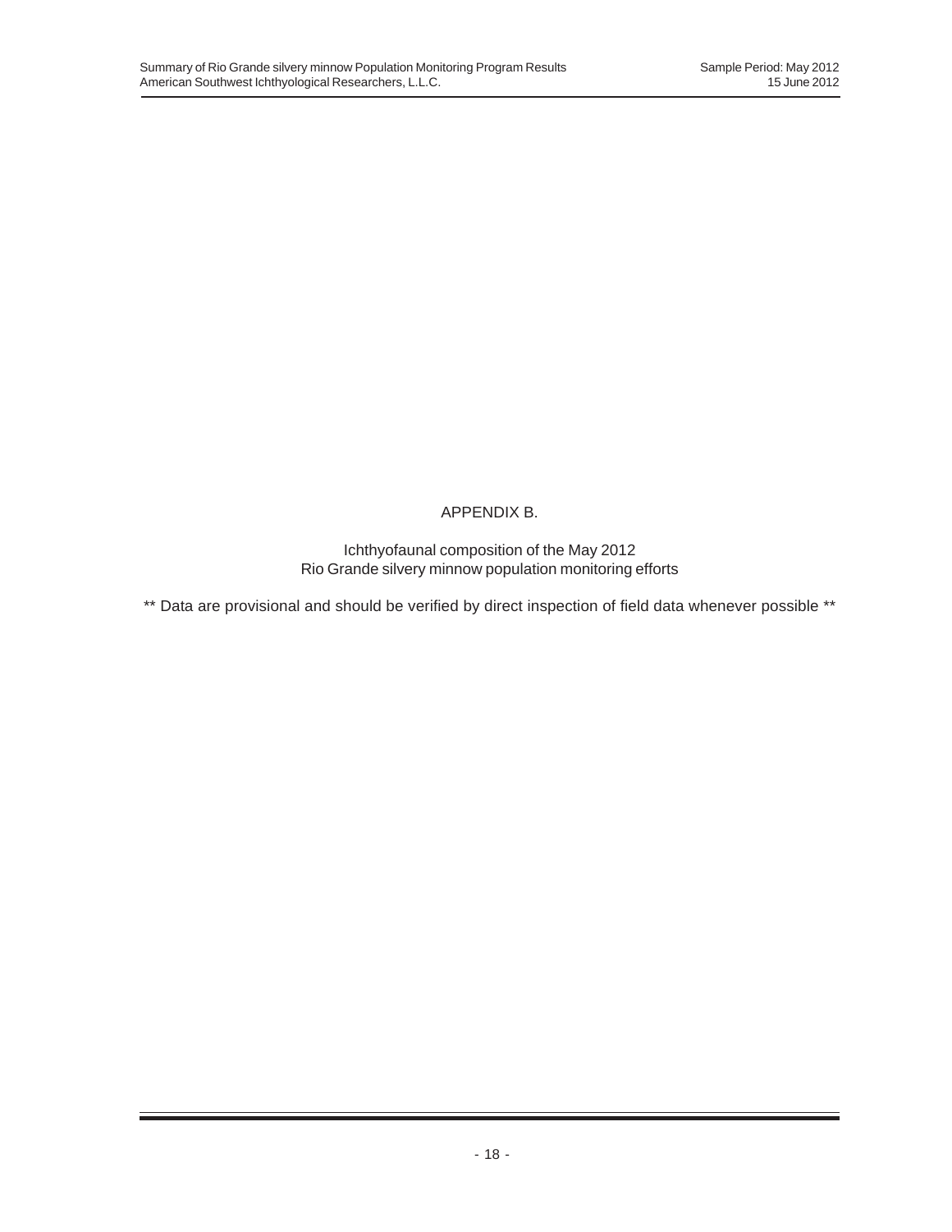## APPENDIX B.

Ichthyofaunal composition of the May 2012 Rio Grande silvery minnow population monitoring efforts

\*\* Data are provisional and should be verified by direct inspection of field data whenever possible \*\*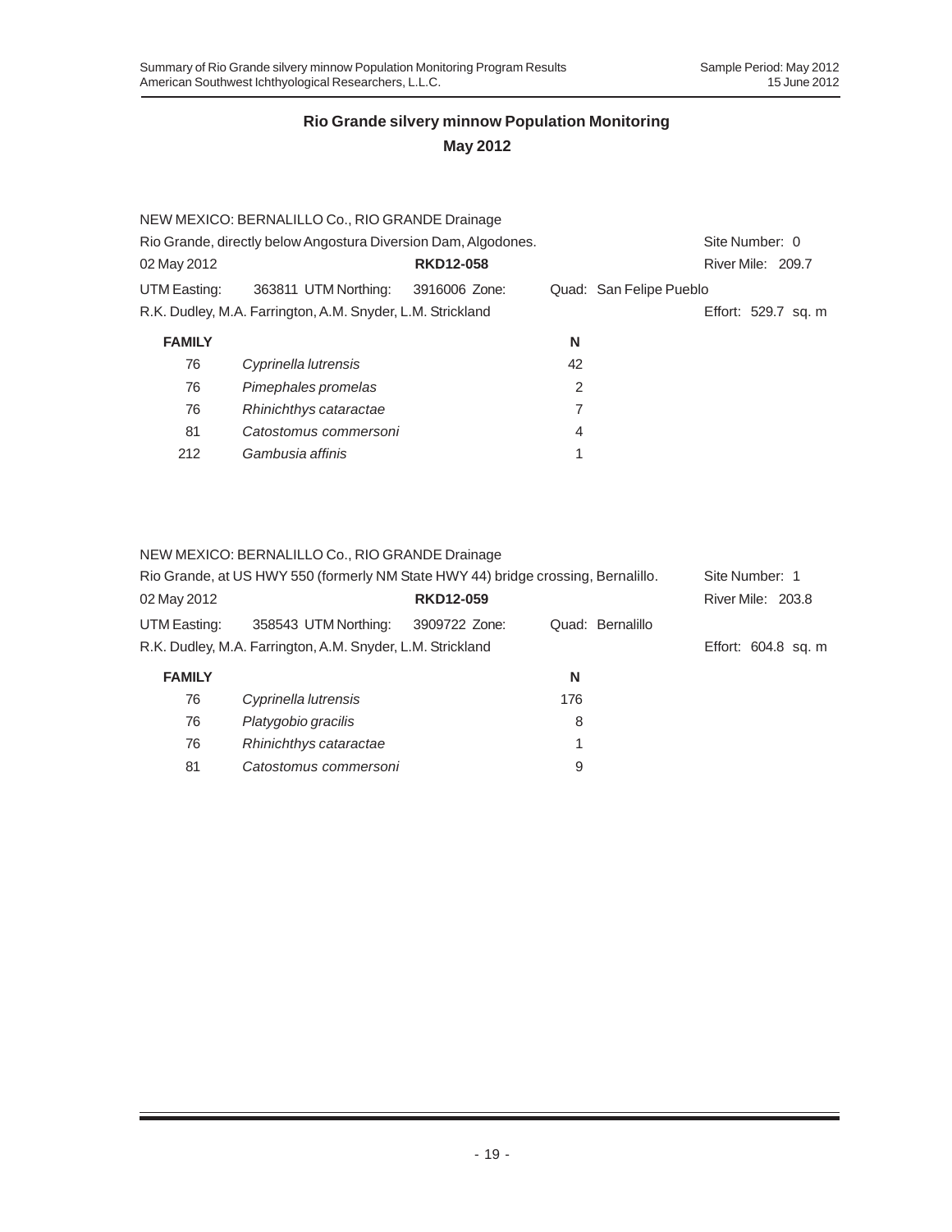|                                                                | NEW MEXICO: BERNALILLO Co., RIO GRANDE Drainage            |                  |                |                         |
|----------------------------------------------------------------|------------------------------------------------------------|------------------|----------------|-------------------------|
| Rio Grande, directly below Angostura Diversion Dam, Algodones. | Site Number: 0                                             |                  |                |                         |
| 02 May 2012                                                    |                                                            | <b>RKD12-058</b> |                | River Mile: 209.7       |
| UTM Easting:                                                   | 363811 UTM Northing: 3916006 Zone:                         |                  |                | Quad: San Felipe Pueblo |
|                                                                | R.K. Dudley, M.A. Farrington, A.M. Snyder, L.M. Strickland |                  |                | Effort: 529.7 sq. m     |
| <b>FAMILY</b>                                                  |                                                            |                  | N              |                         |
| 76                                                             | Cyprinella lutrensis                                       |                  | 42             |                         |
| 76                                                             | Pimephales promelas                                        |                  | 2              |                         |
| 76                                                             | Rhinichthys cataractae                                     |                  | 7              |                         |
| 81                                                             | Catostomus commersoni                                      |                  | $\overline{4}$ |                         |
| 212                                                            | Gambusia affinis                                           |                  |                |                         |

#### NEW MEXICO: BERNALILLO Co., RIO GRANDE Drainage

| Rio Grande, at US HWY 550 (formerly NM State HWY 44) bridge crossing, Bernalillo. | Site Number: 1                                             |                  |                  |                     |
|-----------------------------------------------------------------------------------|------------------------------------------------------------|------------------|------------------|---------------------|
| 02 May 2012                                                                       |                                                            | <b>RKD12-059</b> |                  | River Mile: 203.8   |
| UTM Easting:                                                                      | 358543 UTM Northing:                                       | 3909722 Zone:    | Quad: Bernalillo |                     |
|                                                                                   | R.K. Dudley, M.A. Farrington, A.M. Snyder, L.M. Strickland |                  |                  | Effort: 604.8 sq. m |
| <b>FAMILY</b>                                                                     |                                                            |                  | N                |                     |
| 76                                                                                | Cyprinella lutrensis                                       |                  | 176              |                     |
| 76                                                                                | Platygobio gracilis                                        |                  | 8                |                     |
| 76                                                                                | Rhinichthys cataractae                                     |                  |                  |                     |
| 81                                                                                | Catostomus commersoni                                      |                  | 9                |                     |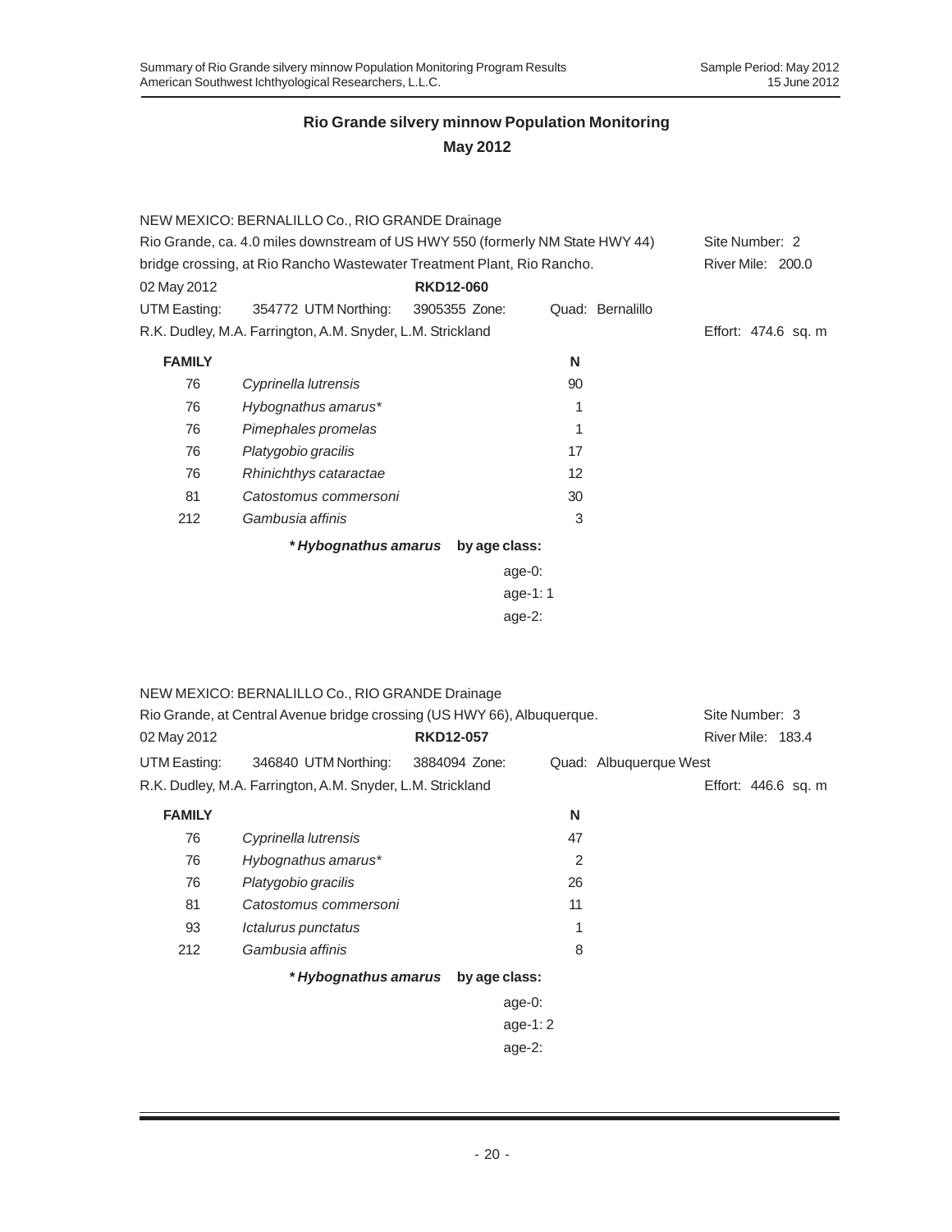|                                                                               | NEW MEXICO: BERNALILLO Co., RIO GRANDE Drainage                        |                                    |                   |                     |  |  |  |  |  |  |
|-------------------------------------------------------------------------------|------------------------------------------------------------------------|------------------------------------|-------------------|---------------------|--|--|--|--|--|--|
| Rio Grande, ca. 4.0 miles downstream of US HWY 550 (formerly NM State HWY 44) | Site Number: 2                                                         |                                    |                   |                     |  |  |  |  |  |  |
|                                                                               | bridge crossing, at Rio Rancho Wastewater Treatment Plant, Rio Rancho. |                                    |                   | River Mile: 200.0   |  |  |  |  |  |  |
| 02 May 2012                                                                   |                                                                        | <b>RKD12-060</b>                   |                   |                     |  |  |  |  |  |  |
| UTM Easting:                                                                  | 354772 UTM Northing: 3905355 Zone:                                     |                                    | Quad: Bernalillo  |                     |  |  |  |  |  |  |
|                                                                               | R.K. Dudley, M.A. Farrington, A.M. Snyder, L.M. Strickland             |                                    |                   | Effort: 474.6 sq. m |  |  |  |  |  |  |
| <b>FAMILY</b>                                                                 |                                                                        |                                    | N                 |                     |  |  |  |  |  |  |
| 76                                                                            | Cyprinella lutrensis                                                   |                                    | 90                |                     |  |  |  |  |  |  |
| 76                                                                            | Hybognathus amarus*                                                    |                                    | 1                 |                     |  |  |  |  |  |  |
| 76                                                                            | Pimephales promelas                                                    |                                    | 1                 |                     |  |  |  |  |  |  |
| 76                                                                            | Platygobio gracilis                                                    |                                    | 17                |                     |  |  |  |  |  |  |
| 76                                                                            | Rhinichthys cataractae                                                 |                                    | $12 \overline{ }$ |                     |  |  |  |  |  |  |
| 81                                                                            | Catostomus commersoni                                                  |                                    | 30                |                     |  |  |  |  |  |  |
| 212                                                                           | Gambusia affinis                                                       |                                    | 3                 |                     |  |  |  |  |  |  |
|                                                                               |                                                                        | * Hybognathus amarus by age class: |                   |                     |  |  |  |  |  |  |
|                                                                               |                                                                        | age- $0$ :                         |                   |                     |  |  |  |  |  |  |
|                                                                               |                                                                        | age-1:1                            |                   |                     |  |  |  |  |  |  |
|                                                                               | age- $2:$                                                              |                                    |                   |                     |  |  |  |  |  |  |

| Rio Grande, at Central Avenue bridge crossing (US HWY 66), Albuquerque. |  |                                                                                                                                                           |                                                                             |  | Site Number: 3         |                                          |  |
|-------------------------------------------------------------------------|--|-----------------------------------------------------------------------------------------------------------------------------------------------------------|-----------------------------------------------------------------------------|--|------------------------|------------------------------------------|--|
|                                                                         |  |                                                                                                                                                           |                                                                             |  |                        |                                          |  |
|                                                                         |  |                                                                                                                                                           |                                                                             |  |                        |                                          |  |
|                                                                         |  |                                                                                                                                                           |                                                                             |  |                        |                                          |  |
|                                                                         |  | N                                                                                                                                                         |                                                                             |  |                        |                                          |  |
| Cyprinella lutrensis                                                    |  | 47                                                                                                                                                        |                                                                             |  |                        |                                          |  |
| Hybognathus amarus*                                                     |  | $\overline{2}$                                                                                                                                            |                                                                             |  |                        |                                          |  |
| Platygobio gracilis                                                     |  | 26                                                                                                                                                        |                                                                             |  |                        |                                          |  |
| Catostomus commersoni                                                   |  | 11                                                                                                                                                        |                                                                             |  |                        |                                          |  |
| Ictalurus punctatus                                                     |  | 1                                                                                                                                                         |                                                                             |  |                        |                                          |  |
| Gambusia affinis                                                        |  | 8                                                                                                                                                         |                                                                             |  |                        |                                          |  |
|                                                                         |  |                                                                                                                                                           |                                                                             |  |                        |                                          |  |
|                                                                         |  |                                                                                                                                                           |                                                                             |  |                        |                                          |  |
|                                                                         |  |                                                                                                                                                           |                                                                             |  |                        |                                          |  |
|                                                                         |  | NEW MEXICO: BERNALILLO Co., RIO GRANDE Drainage<br><b>RKD12-057</b><br>R.K. Dudley, M.A. Farrington, A.M. Snyder, L.M. Strickland<br>* Hybognathus amarus | 346840 UTM Northing: 3884094 Zone:<br>by age class:<br>age-0:<br>age-1: $2$ |  | Quad: Albuquerque West | River Mile: 183.4<br>Effort: 446.6 sq. m |  |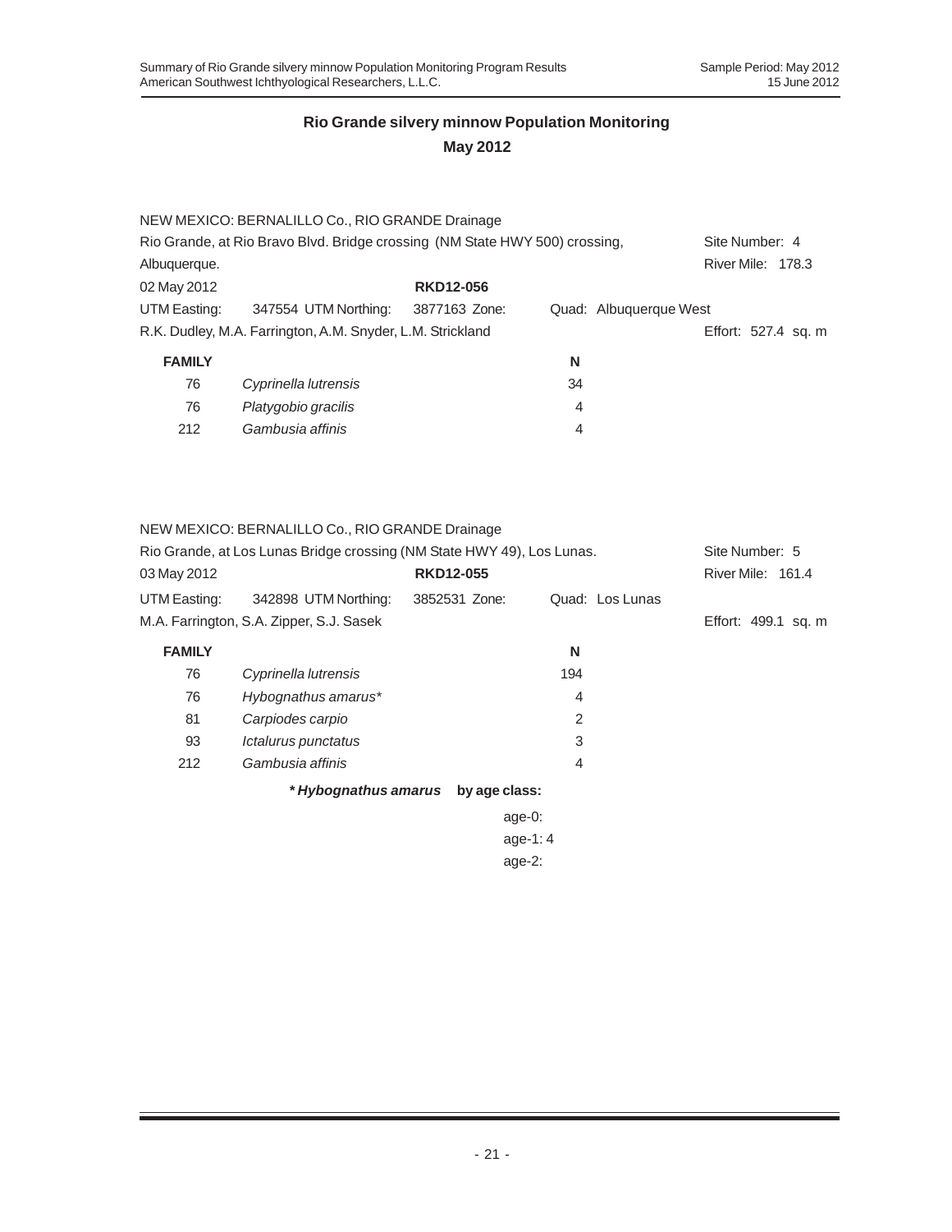### **May 2012**

|                                                                             | NEW MEXICO: BERNALILLO Co., RIO GRANDE Drainage            |                  |    |                        |
|-----------------------------------------------------------------------------|------------------------------------------------------------|------------------|----|------------------------|
| Rio Grande, at Rio Bravo Blvd. Bridge crossing (NM State HWY 500) crossing, | Site Number: 4                                             |                  |    |                        |
| Albuquerque.                                                                |                                                            |                  |    | River Mile: 178.3      |
| 02 May 2012                                                                 |                                                            | <b>RKD12-056</b> |    |                        |
| UTM Easting:                                                                | 347554 UTM Northing:                                       | 3877163 Zone:    |    | Quad: Albuquerque West |
|                                                                             | R.K. Dudley, M.A. Farrington, A.M. Snyder, L.M. Strickland |                  |    | Effort: 527.4 sq. m    |
| <b>FAMILY</b>                                                               |                                                            |                  | N  |                        |
| 76                                                                          | Cyprinella lutrensis                                       |                  | 34 |                        |
| 76                                                                          | Platygobio gracilis                                        |                  | 4  |                        |
| 212                                                                         | Gambusia affinis                                           |                  | 4  |                        |

### NEW MEXICO: BERNALILLO Co., RIO GRANDE Drainage

| Rio Grande, at Los Lunas Bridge crossing (NM State HWY 49), Los Lunas. |                                          |               |               | Site Number: 5 |                   |                     |
|------------------------------------------------------------------------|------------------------------------------|---------------|---------------|----------------|-------------------|---------------------|
| <b>RKD12-055</b><br>03 May 2012                                        |                                          |               |               |                | River Mile: 161.4 |                     |
| UTM Easting:                                                           | 342898 UTM Northing:                     | 3852531 Zone: |               |                | Quad: Los Lunas   |                     |
|                                                                        | M.A. Farrington, S.A. Zipper, S.J. Sasek |               |               |                |                   | Effort: 499.1 sq. m |
| <b>FAMILY</b>                                                          |                                          |               |               | N              |                   |                     |
| 76                                                                     | Cyprinella lutrensis                     |               |               | 194            |                   |                     |
| 76                                                                     | Hybognathus amarus*                      |               |               | 4              |                   |                     |
| 81                                                                     | Carpiodes carpio                         |               |               | 2              |                   |                     |
| 93                                                                     | Ictalurus punctatus                      |               |               | 3              |                   |                     |
| 212                                                                    | Gambusia affinis                         |               |               | 4              |                   |                     |
|                                                                        | * Hybognathus amarus                     |               | by age class: |                |                   |                     |
|                                                                        |                                          |               | $age-0$ :     |                |                   |                     |
|                                                                        |                                          |               |               | age-1: $4$     |                   |                     |
|                                                                        |                                          |               | age- $2$ :    |                |                   |                     |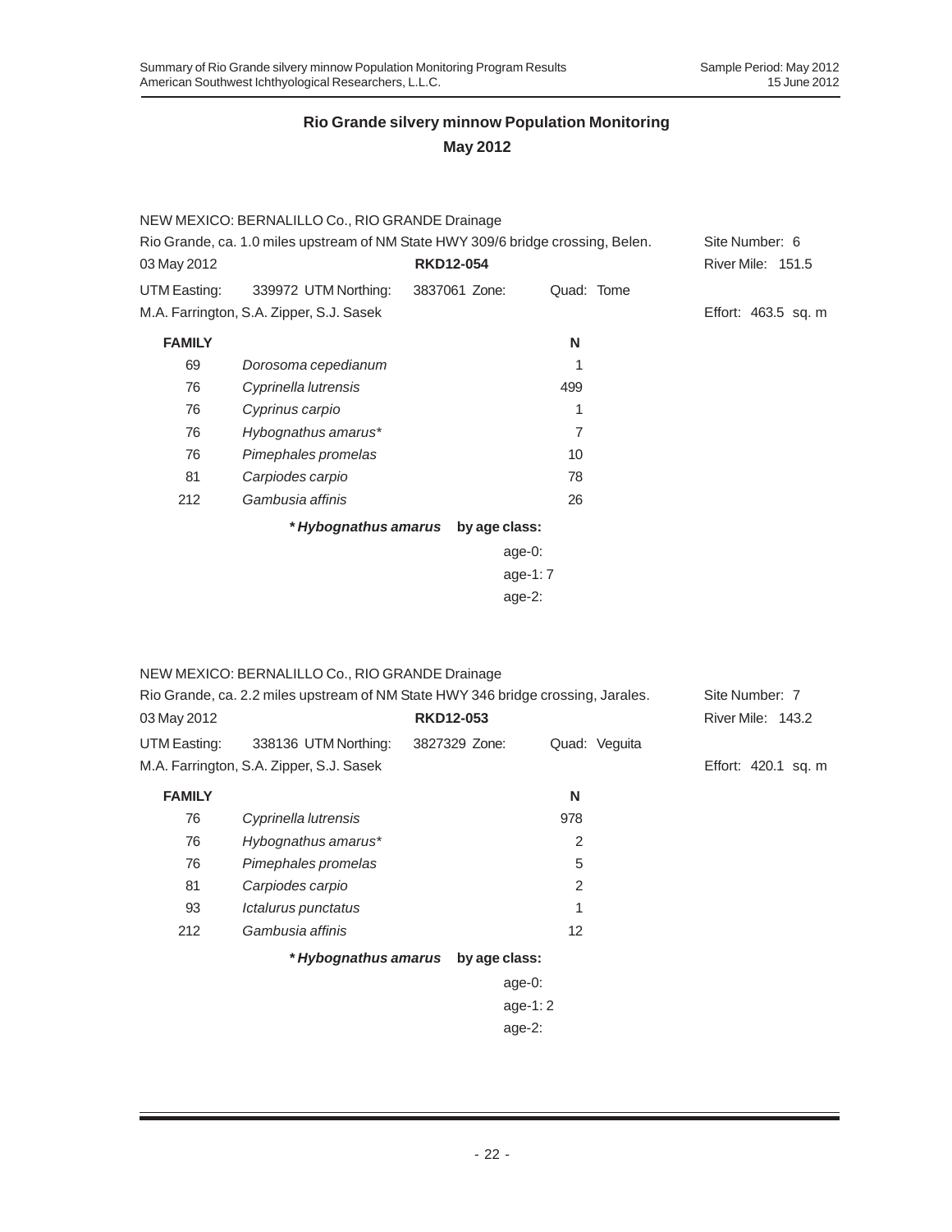|                                                                                  | NEW MEXICO: BERNALILLO Co., RIO GRANDE Drainage |                  |            |                     |
|----------------------------------------------------------------------------------|-------------------------------------------------|------------------|------------|---------------------|
| Rio Grande, ca. 1.0 miles upstream of NM State HWY 309/6 bridge crossing, Belen. | Site Number: 6                                  |                  |            |                     |
| 03 May 2012                                                                      |                                                 | <b>RKD12-054</b> |            | River Mile: 151.5   |
| UTM Easting:                                                                     | 339972 UTM Northing:                            | 3837061 Zone:    | Quad: Tome |                     |
|                                                                                  | M.A. Farrington, S.A. Zipper, S.J. Sasek        |                  |            | Effort: 463.5 sq. m |
| <b>FAMILY</b>                                                                    |                                                 |                  | N          |                     |
| 69                                                                               | Dorosoma cepedianum                             |                  | 1          |                     |
| 76                                                                               | Cyprinella lutrensis                            |                  | 499        |                     |
| 76                                                                               | Cyprinus carpio                                 |                  | 1          |                     |
| 76                                                                               | Hybognathus amarus*                             |                  | 7          |                     |
| 76                                                                               | Pimephales promelas                             |                  | 10         |                     |
| 81                                                                               | Carpiodes carpio                                |                  | 78         |                     |
| 212                                                                              | Gambusia affinis                                |                  | 26         |                     |
|                                                                                  | * Hybognathus amarus                            | by age class:    |            |                     |
|                                                                                  |                                                 | age-0:           |            |                     |
|                                                                                  |                                                 | age-1: $7$       |            |                     |
|                                                                                  |                                                 | age- $2$ :       |            |                     |

|                                                                                  | NEW MEXICO: BERNALILLO Co., RIO GRANDE Drainage |                  |               |                     |
|----------------------------------------------------------------------------------|-------------------------------------------------|------------------|---------------|---------------------|
| Rio Grande, ca. 2.2 miles upstream of NM State HWY 346 bridge crossing, Jarales. | Site Number: 7                                  |                  |               |                     |
| 03 May 2012                                                                      |                                                 | <b>RKD12-053</b> |               | River Mile: 143.2   |
| UTM Easting:                                                                     | 338136 UTM Northing:                            | 3827329 Zone:    | Quad: Veguita |                     |
|                                                                                  | M.A. Farrington, S.A. Zipper, S.J. Sasek        |                  |               | Effort: 420.1 sq. m |
| <b>FAMILY</b>                                                                    |                                                 |                  | N             |                     |
| 76                                                                               | Cyprinella lutrensis                            |                  | 978           |                     |
| 76                                                                               | Hybognathus amarus*                             |                  | 2             |                     |
| 76                                                                               | Pimephales promelas                             |                  | 5             |                     |
| 81                                                                               | Carpiodes carpio                                |                  | 2             |                     |
| 93                                                                               | Ictalurus punctatus                             |                  | 1             |                     |
| 212                                                                              | Gambusia affinis                                |                  | 12            |                     |
|                                                                                  | * Hybognathus amarus                            | by age class:    |               |                     |
|                                                                                  |                                                 | age-0:           |               |                     |
|                                                                                  |                                                 |                  | age-1: $2$    |                     |
|                                                                                  |                                                 | $age-2$ :        |               |                     |
|                                                                                  |                                                 |                  |               |                     |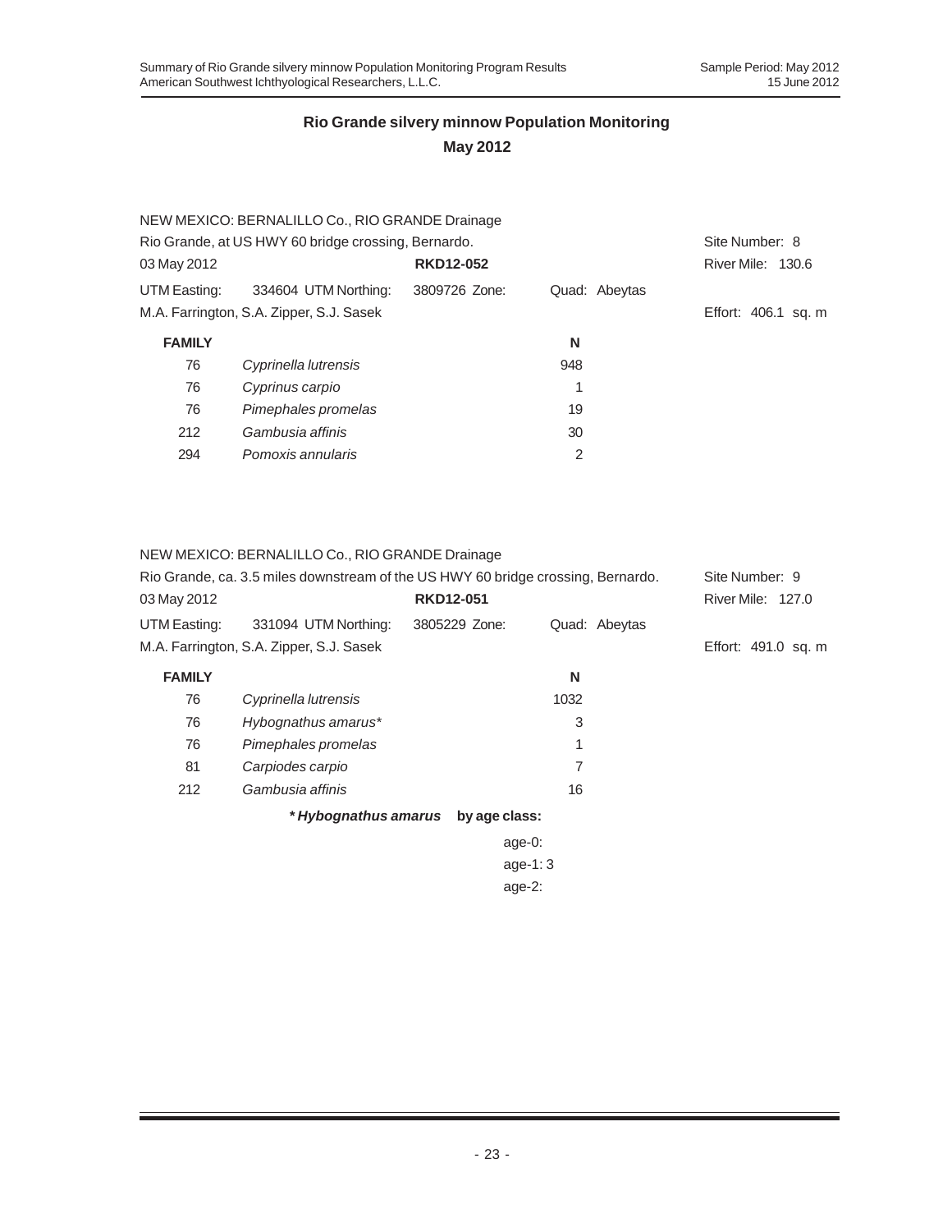|                                                     | NEW MEXICO: BERNALILLO Co., RIO GRANDE Drainage |                  |               |                     |
|-----------------------------------------------------|-------------------------------------------------|------------------|---------------|---------------------|
| Rio Grande, at US HWY 60 bridge crossing, Bernardo. | Site Number: 8                                  |                  |               |                     |
| 03 May 2012                                         |                                                 | <b>RKD12-052</b> |               | River Mile: 130.6   |
| UTM Easting:                                        | 334604 UTM Northing:                            | 3809726 Zone:    | Quad: Abeytas |                     |
|                                                     | M.A. Farrington, S.A. Zipper, S.J. Sasek        |                  |               | Effort: 406.1 sq. m |
| <b>FAMILY</b>                                       |                                                 |                  | N             |                     |
| 76                                                  | Cyprinella lutrensis                            |                  | 948           |                     |
| 76                                                  | Cyprinus carpio                                 |                  |               |                     |
| 76                                                  | Pimephales promelas                             |                  | 19            |                     |
| 212                                                 | Gambusia affinis                                |                  | 30            |                     |
| 294                                                 | Pomoxis annularis                               |                  | 2             |                     |
|                                                     |                                                 |                  |               |                     |

#### NEW MEXICO: BERNALILLO Co., RIO GRANDE Drainage

| Rio Grande, ca. 3.5 miles downstream of the US HWY 60 bridge crossing, Bernardo. |                                          |                  |      | Site Number: 9 |                          |
|----------------------------------------------------------------------------------|------------------------------------------|------------------|------|----------------|--------------------------|
| 03 May 2012                                                                      |                                          | <b>RKD12-051</b> |      |                | <b>River Mile: 127.0</b> |
| UTM Easting:                                                                     | 331094 UTM Northing:                     | 3805229 Zone:    |      | Quad: Abeytas  |                          |
|                                                                                  | M.A. Farrington, S.A. Zipper, S.J. Sasek |                  |      |                | Effort: 491.0 sq. m      |
| <b>FAMILY</b>                                                                    |                                          |                  | N    |                |                          |
| 76                                                                               | Cyprinella lutrensis                     |                  | 1032 |                |                          |
| 76                                                                               | Hybognathus amarus*                      |                  | 3    |                |                          |
| 76                                                                               | Pimephales promelas                      |                  | 1    |                |                          |
| 81                                                                               | Carpiodes carpio                         |                  | 7    |                |                          |
| 212                                                                              | Gambusia affinis                         |                  | 16   |                |                          |
|                                                                                  | * Hybognathus amarus                     | by age class:    |      |                |                          |
|                                                                                  |                                          | age- $0$ :       |      |                |                          |
|                                                                                  |                                          | age-1: $3$       |      |                |                          |
|                                                                                  |                                          | age- $2$ :       |      |                |                          |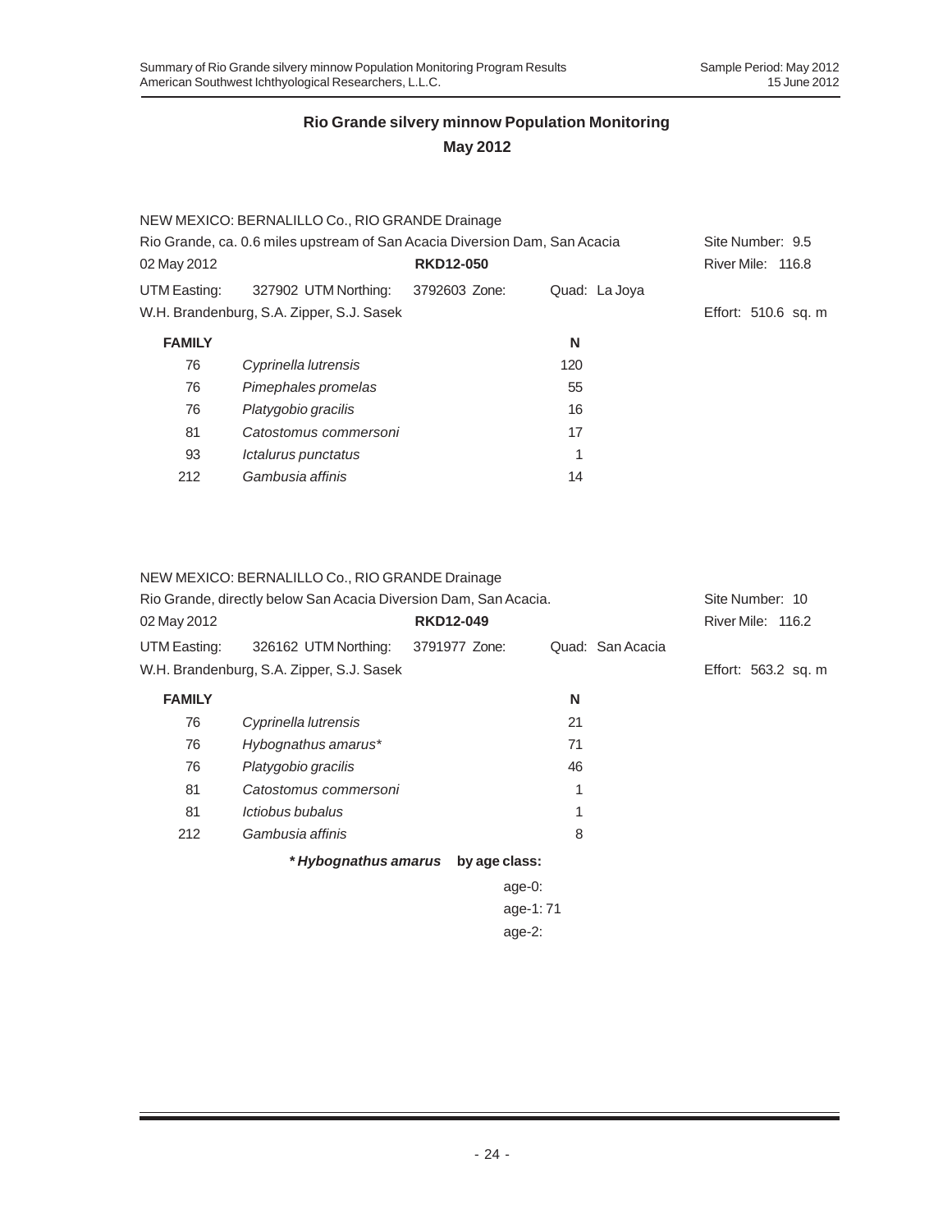|                                                                            | NEW MEXICO: BERNALILLO Co., RIO GRANDE Drainage |                  |               |                     |
|----------------------------------------------------------------------------|-------------------------------------------------|------------------|---------------|---------------------|
| Rio Grande, ca. 0.6 miles upstream of San Acacia Diversion Dam, San Acacia | Site Number: 9.5                                |                  |               |                     |
| 02 May 2012                                                                |                                                 | <b>RKD12-050</b> |               | River Mile: 116.8   |
| UTM Easting:                                                               | 327902 UTM Northing:                            | 3792603 Zone:    | Quad: La Joya |                     |
|                                                                            | W.H. Brandenburg, S.A. Zipper, S.J. Sasek       |                  |               | Effort: 510.6 sq. m |
| <b>FAMILY</b>                                                              |                                                 |                  | N             |                     |
| 76                                                                         | Cyprinella lutrensis                            |                  | 120           |                     |
| 76                                                                         | Pimephales promelas                             |                  | 55            |                     |
| 76                                                                         | Platygobio gracilis                             |                  | 16            |                     |
| 81                                                                         | Catostomus commersoni                           |                  | 17            |                     |
| 93                                                                         | Ictalurus punctatus                             |                  | 1             |                     |
| 212                                                                        | Gambusia affinis                                |                  | 14            |                     |

### NEW MEXICO: BERNALILLO Co., RIO GRANDE Drainage

| Rio Grande, directly below San Acacia Diversion Dam, San Acacia. | Site Number: 10                           |                                    |                  |                     |
|------------------------------------------------------------------|-------------------------------------------|------------------------------------|------------------|---------------------|
| 02 May 2012                                                      |                                           | <b>RKD12-049</b>                   |                  | River Mile: 116.2   |
| UTM Easting:                                                     | 326162 UTM Northing:                      | 3791977 Zone:                      | Quad: San Acacia |                     |
|                                                                  | W.H. Brandenburg, S.A. Zipper, S.J. Sasek |                                    |                  | Effort: 563.2 sq. m |
| <b>FAMILY</b>                                                    |                                           |                                    | N                |                     |
| 76                                                               | Cyprinella lutrensis                      |                                    | 21               |                     |
| 76                                                               | Hybognathus amarus*                       |                                    | 71               |                     |
| 76                                                               | Platygobio gracilis                       |                                    | 46               |                     |
| 81                                                               | Catostomus commersoni                     |                                    | 1                |                     |
| 81                                                               | Ictiobus bubalus                          |                                    | 1                |                     |
| 212                                                              | Gambusia affinis                          |                                    | 8                |                     |
|                                                                  |                                           | * Hybognathus amarus by age class: |                  |                     |
|                                                                  |                                           | age-0:                             |                  |                     |
|                                                                  |                                           |                                    | age-1:71         |                     |
|                                                                  |                                           | age- $2$ :                         |                  |                     |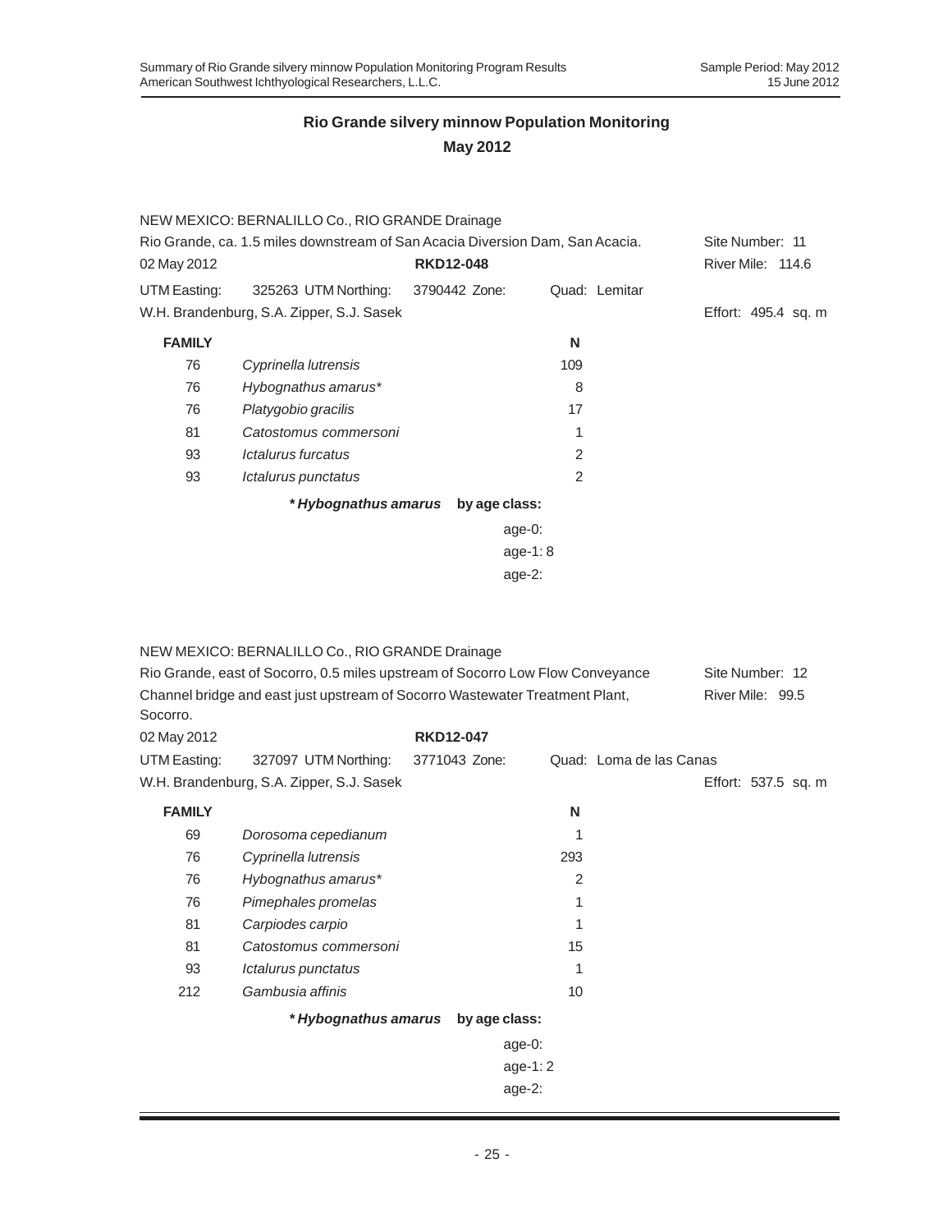|                                                                               | NEW MEXICO: BERNALILLO Co., RIO GRANDE Drainage |                  |                |               |                     |
|-------------------------------------------------------------------------------|-------------------------------------------------|------------------|----------------|---------------|---------------------|
| Rio Grande, ca. 1.5 miles downstream of San Acacia Diversion Dam, San Acacia. |                                                 | Site Number: 11  |                |               |                     |
| 02 May 2012                                                                   |                                                 | <b>RKD12-048</b> |                |               | River Mile: 114.6   |
| UTM Easting:                                                                  | 325263 UTM Northing:                            | 3790442 Zone:    |                | Quad: Lemitar |                     |
|                                                                               | W.H. Brandenburg, S.A. Zipper, S.J. Sasek       |                  |                |               | Effort: 495.4 sq. m |
| <b>FAMILY</b>                                                                 |                                                 |                  | N              |               |                     |
| 76                                                                            | Cyprinella lutrensis                            |                  | 109            |               |                     |
| 76                                                                            | Hybognathus amarus*                             |                  | 8              |               |                     |
| 76                                                                            | Platygobio gracilis                             |                  | 17             |               |                     |
| 81                                                                            | Catostomus commersoni                           |                  |                |               |                     |
| 93                                                                            | Ictalurus furcatus                              |                  | $\mathcal{P}$  |               |                     |
| 93                                                                            | Ictalurus punctatus                             |                  | $\overline{2}$ |               |                     |
|                                                                               | * Hybognathus amarus                            | by age class:    |                |               |                     |
|                                                                               |                                                 | age-0:           |                |               |                     |
|                                                                               |                                                 |                  |                |               |                     |

age-1: 8 age-2:

| Rio Grande, east of Socorro, 0.5 miles upstream of Socorro Low Flow Conveyance<br>Channel bridge and east just upstream of Socorro Wastewater Treatment Plant,<br>Socorro. |                                           |                                    |     | Site Number: 12<br>River Mile: 99.5 |                     |
|----------------------------------------------------------------------------------------------------------------------------------------------------------------------------|-------------------------------------------|------------------------------------|-----|-------------------------------------|---------------------|
| 02 May 2012                                                                                                                                                                |                                           | <b>RKD12-047</b>                   |     |                                     |                     |
| UTM Easting:                                                                                                                                                               | 327097 UTM Northing:                      | 3771043 Zone:                      |     | Quad: Loma de las Canas             |                     |
|                                                                                                                                                                            | W.H. Brandenburg, S.A. Zipper, S.J. Sasek |                                    |     |                                     | Effort: 537.5 sq. m |
| <b>FAMILY</b>                                                                                                                                                              |                                           |                                    | N   |                                     |                     |
| 69                                                                                                                                                                         | Dorosoma cepedianum                       |                                    | 1   |                                     |                     |
| 76                                                                                                                                                                         | Cyprinella lutrensis                      |                                    | 293 |                                     |                     |
| 76                                                                                                                                                                         | Hybognathus amarus*                       |                                    | 2   |                                     |                     |
| 76                                                                                                                                                                         | Pimephales promelas                       |                                    | 1   |                                     |                     |
| 81                                                                                                                                                                         | Carpiodes carpio                          |                                    | 1   |                                     |                     |
| 81                                                                                                                                                                         | Catostomus commersoni                     |                                    | 15  |                                     |                     |
| 93                                                                                                                                                                         | Ictalurus punctatus                       |                                    | 1   |                                     |                     |
| 212                                                                                                                                                                        | Gambusia affinis                          |                                    | 10  |                                     |                     |
|                                                                                                                                                                            |                                           | * Hybognathus amarus by age class: |     |                                     |                     |
|                                                                                                                                                                            |                                           | age-0:                             |     |                                     |                     |
|                                                                                                                                                                            |                                           | age-1: $2$                         |     |                                     |                     |
|                                                                                                                                                                            |                                           | $age-2$ :                          |     |                                     |                     |
|                                                                                                                                                                            |                                           |                                    |     |                                     |                     |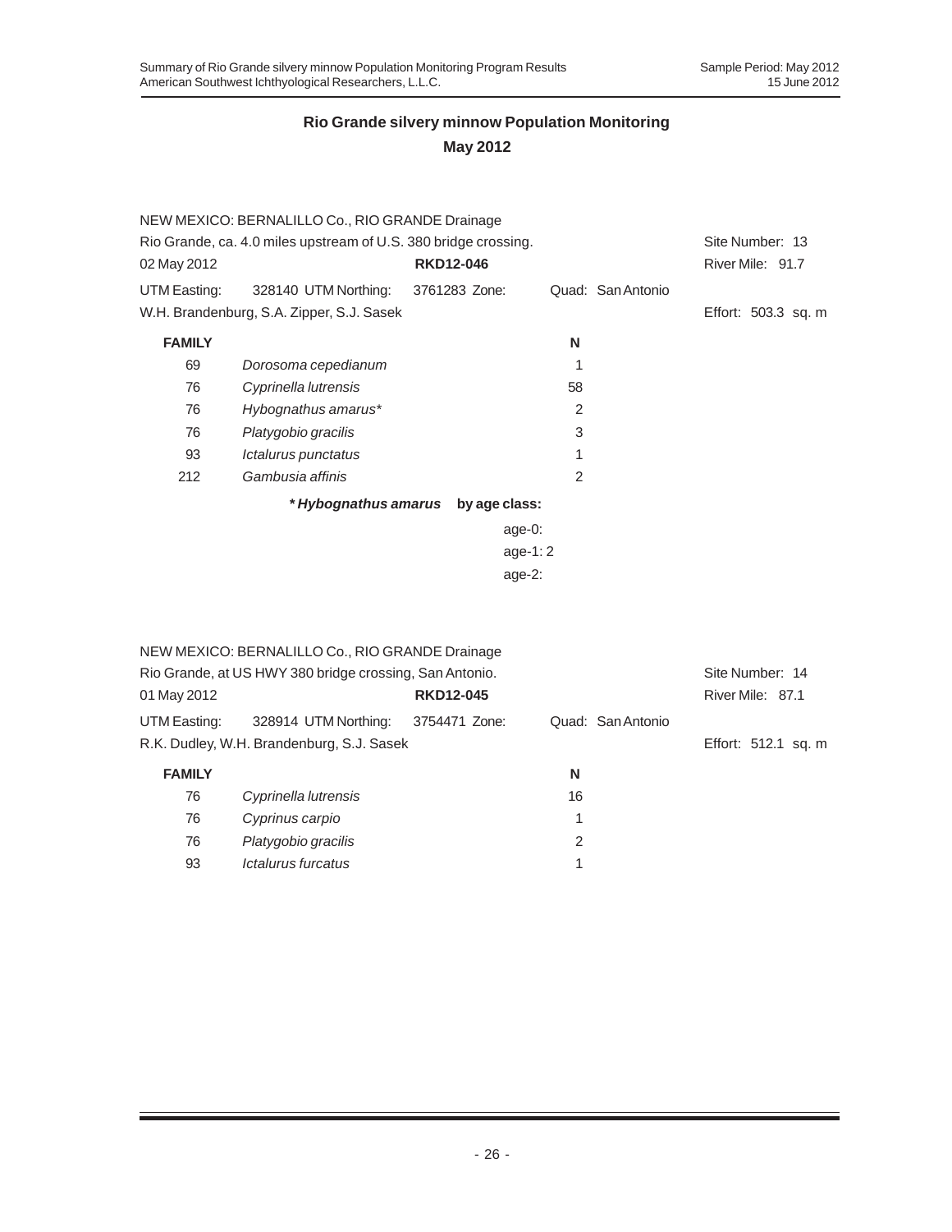|               | NEW MEXICO: BERNALILLO Co., RIO GRANDE Drainage                 |                  |               |                   |                     |  |
|---------------|-----------------------------------------------------------------|------------------|---------------|-------------------|---------------------|--|
|               | Rio Grande, ca. 4.0 miles upstream of U.S. 380 bridge crossing. |                  |               |                   |                     |  |
| 02 May 2012   |                                                                 | <b>RKD12-046</b> |               |                   | River Mile: 91.7    |  |
| UTM Easting:  | 328140 UTM Northing:                                            | 3761283 Zone:    |               | Quad: San Antonio |                     |  |
|               | W.H. Brandenburg, S.A. Zipper, S.J. Sasek                       |                  |               |                   | Effort: 503.3 sq. m |  |
| <b>FAMILY</b> |                                                                 |                  | N             |                   |                     |  |
| 69            | Dorosoma cepedianum                                             |                  |               |                   |                     |  |
| 76            | Cyprinella lutrensis                                            |                  | 58            |                   |                     |  |
| 76            | Hybognathus amarus*                                             |                  | $\mathcal{P}$ |                   |                     |  |
| 76            | Platygobio gracilis                                             |                  | 3             |                   |                     |  |
| 93            | Ictalurus punctatus                                             |                  | 1             |                   |                     |  |
| 212           | Gambusia affinis                                                |                  | $\mathcal{P}$ |                   |                     |  |
|               | * Hybognathus amarus                                            | by age class:    |               |                   |                     |  |

| age-0:  |
|---------|
| age-1:2 |
| age-2:  |

|                                                         | NEW MEXICO: BERNALILLO Co., RIO GRANDE Drainage |                  |                   |                     |
|---------------------------------------------------------|-------------------------------------------------|------------------|-------------------|---------------------|
| Rio Grande, at US HWY 380 bridge crossing, San Antonio. | Site Number: 14                                 |                  |                   |                     |
| 01 May 2012                                             |                                                 | <b>RKD12-045</b> |                   | River Mile: 87.1    |
| UTM Easting:                                            | 328914 UTM Northing:                            | 3754471 Zone:    | Quad: San Antonio |                     |
|                                                         | R.K. Dudley, W.H. Brandenburg, S.J. Sasek       |                  |                   | Effort: 512.1 sq. m |
| <b>FAMILY</b>                                           |                                                 |                  | N                 |                     |
| 76                                                      | Cyprinella lutrensis                            |                  | 16                |                     |
| 76                                                      | Cyprinus carpio                                 |                  | 1                 |                     |
| 76                                                      | Platygobio gracilis                             |                  | 2                 |                     |
| 93                                                      | Ictalurus furcatus                              |                  | 1                 |                     |
|                                                         |                                                 |                  |                   |                     |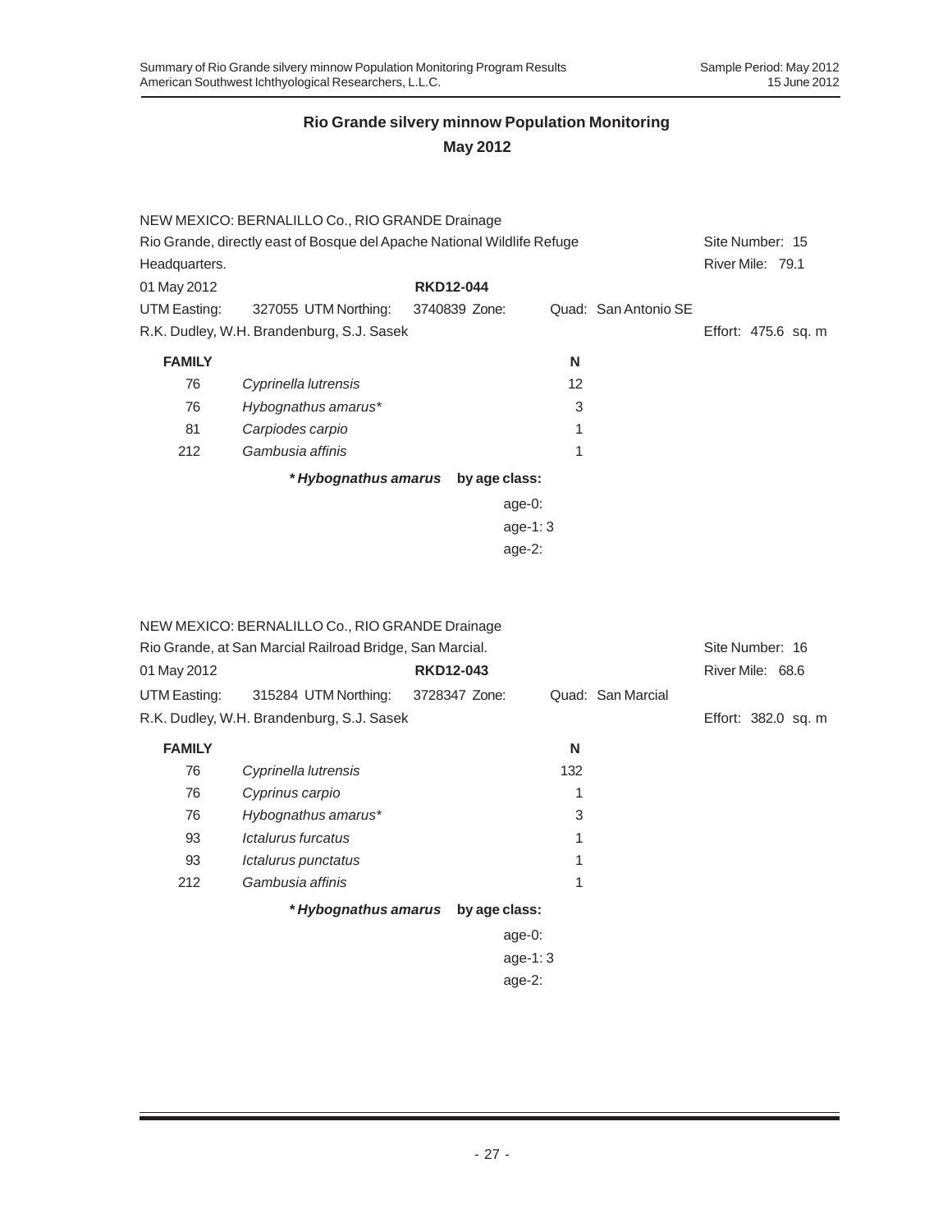### **May 2012**

|                                                                         | NEW MEXICO: BERNALILLO Co., RIO GRANDE Drainage |                  |               |    |                      |                     |
|-------------------------------------------------------------------------|-------------------------------------------------|------------------|---------------|----|----------------------|---------------------|
| Rio Grande, directly east of Bosque del Apache National Wildlife Refuge |                                                 |                  |               |    | Site Number: 15      |                     |
| Headquarters.                                                           |                                                 |                  |               |    | River Mile: 79.1     |                     |
| 01 May 2012                                                             |                                                 | <b>RKD12-044</b> |               |    |                      |                     |
| UTM Easting:                                                            | 327055 UTM Northing:                            | 3740839 Zone:    |               |    | Quad: San Antonio SE |                     |
|                                                                         | R.K. Dudley, W.H. Brandenburg, S.J. Sasek       |                  |               |    |                      | Effort: 475.6 sq. m |
| <b>FAMILY</b>                                                           |                                                 |                  |               | N  |                      |                     |
| 76                                                                      | Cyprinella lutrensis                            |                  |               | 12 |                      |                     |
| 76                                                                      | Hybognathus amarus*                             |                  |               | 3  |                      |                     |
| 81                                                                      | Carpiodes carpio                                |                  |               | 1  |                      |                     |
| 212                                                                     | Gambusia affinis                                |                  |               | 1  |                      |                     |
|                                                                         | * Hybognathus amarus                            |                  | by age class: |    |                      |                     |
|                                                                         |                                                 |                  | age-0:        |    |                      |                     |
|                                                                         |                                                 |                  | age-1: $3$    |    |                      |                     |
|                                                                         |                                                 |                  | age- $2:$     |    |                      |                     |

| NEW MEXICO: BERNALILLO Co., RIO GRANDE Drainage |  |
|-------------------------------------------------|--|
|-------------------------------------------------|--|

| Rio Grande, at San Marcial Railroad Bridge, San Marcial. |                      |                  |               |     | Site Number: 16     |                  |  |
|----------------------------------------------------------|----------------------|------------------|---------------|-----|---------------------|------------------|--|
| 01 May 2012                                              |                      | <b>RKD12-043</b> |               |     |                     | River Mile: 68.6 |  |
| UTM Easting:                                             | 315284 UTM Northing: | 3728347 Zone:    |               |     | Quad: San Marcial   |                  |  |
| R.K. Dudley, W.H. Brandenburg, S.J. Sasek                |                      |                  |               |     | Effort: 382.0 sq. m |                  |  |
| <b>FAMILY</b>                                            |                      |                  |               | N   |                     |                  |  |
| 76                                                       | Cyprinella lutrensis |                  |               | 132 |                     |                  |  |
| 76                                                       | Cyprinus carpio      |                  |               |     |                     |                  |  |
| 76                                                       | Hybognathus amarus*  |                  |               | 3   |                     |                  |  |
| 93                                                       | Ictalurus furcatus   |                  |               |     |                     |                  |  |
| 93                                                       | Ictalurus punctatus  |                  |               | 1   |                     |                  |  |
| 212                                                      | Gambusia affinis     |                  |               | 1   |                     |                  |  |
|                                                          | * Hybognathus amarus |                  | by age class: |     |                     |                  |  |
|                                                          |                      |                  | age-0:        |     |                     |                  |  |
|                                                          |                      |                  | $age-1:3$     |     |                     |                  |  |

age-2: